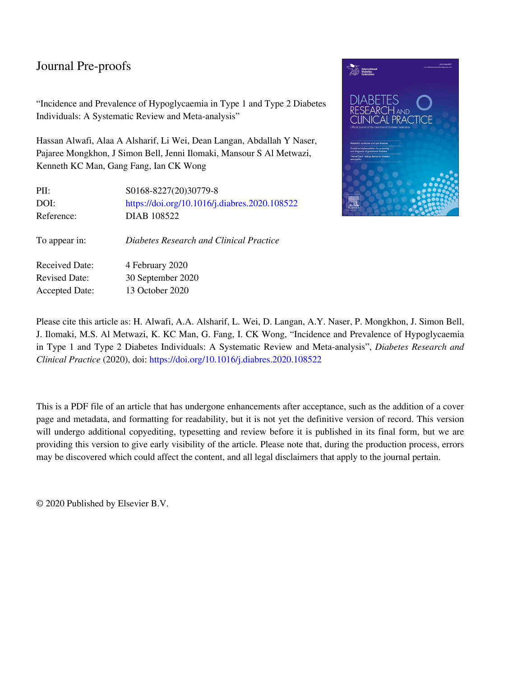"Incidence and Prevalence of Hypoglycaemia in Type 1 and Type 2 Diabetes Individuals: A Systematic Review and Meta-analysis"

Hassan Alwafi, Alaa A Alsharif, Li Wei, Dean Langan, Abdallah Y Naser, Pajaree Mongkhon, J Simon Bell, Jenni Ilomaki, Mansour S Al Metwazi, Kenneth KC Man, Gang Fang, Ian CK Wong

| PII:                  | S0168-8227(20)30779-8                         |
|-----------------------|-----------------------------------------------|
| DOI:                  | https://doi.org/10.1016/j.diabres.2020.108522 |
| Reference:            | DIAB 108522                                   |
| To appear in:         | Diabetes Research and Clinical Practice       |
| Received Date:        | 4 February 2020                               |
| <b>Revised Date:</b>  | 30 September 2020                             |
| <b>Accepted Date:</b> | 13 October 2020                               |



Please cite this article as: H. Alwafi, A.A. Alsharif, L. Wei, D. Langan, A.Y. Naser, P. Mongkhon, J. Simon Bell, J. Ilomaki, M.S. Al Metwazi, K. KC Man, G. Fang, I. CK Wong, "Incidence and Prevalence of Hypoglycaemia in Type 1 and Type 2 Diabetes Individuals: A Systematic Review and Meta-analysis", *Diabetes Research and Clinical Practice* (2020), doi:<https://doi.org/10.1016/j.diabres.2020.108522>

This is a PDF file of an article that has undergone enhancements after acceptance, such as the addition of a cover page and metadata, and formatting for readability, but it is not yet the definitive version of record. This version will undergo additional copyediting, typesetting and review before it is published in its final form, but we are providing this version to give early visibility of the article. Please note that, during the production process, errors may be discovered which could affect the content, and all legal disclaimers that apply to the journal pertain.

© 2020 Published by Elsevier B.V.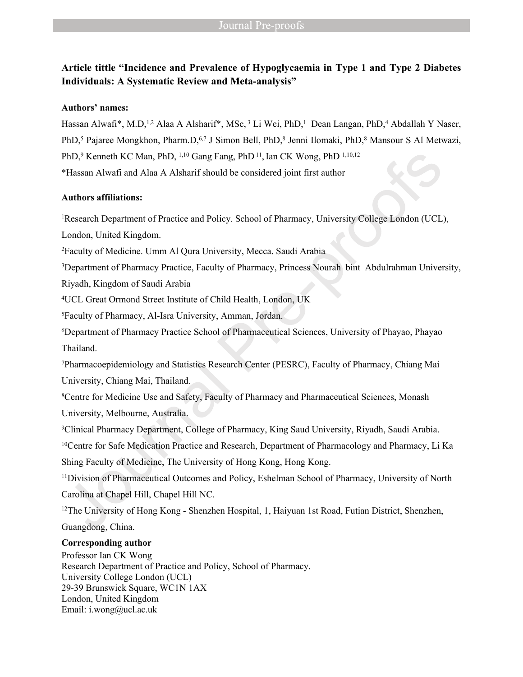# **Article tittle "Incidence and Prevalence of Hypoglycaemia in Type 1 and Type 2 Diabetes Individuals: A Systematic Review and Meta-analysis"**

## **Authors' names:**

Hassan Alwafi\*, M.D,<sup>1,2</sup> Alaa A Alsharif\*, MSc,<sup>3</sup> Li Wei, PhD,<sup>1</sup> Dean Langan, PhD,<sup>4</sup> Abdallah Y Naser, PhD,<sup>5</sup> Pajaree Mongkhon, Pharm.D,<sup>6,7</sup> J Simon Bell, PhD,<sup>8</sup> Jenni Ilomaki, PhD,<sup>8</sup> Mansour S Al Metwazi, PhD,<sup>9</sup> Kenneth KC Man, PhD, <sup>1,10</sup> Gang Fang, PhD<sup>11</sup>, Ian CK Wong, PhD<sup>1,10,12</sup> \*Hassan Alwafi and Alaa A Alsharif should be considered joint first author

## **Authors affiliations:**

<sup>1</sup>Research Department of Practice and Policy. School of Pharmacy, University College London (UCL),

London, United Kingdom.

<sup>2</sup>Faculty of Medicine. Umm Al Qura University, Mecca. Saudi Arabia

<sup>3</sup>Department of Pharmacy Practice, Faculty of Pharmacy, Princess Nourah bint Abdulrahman University,

Riyadh, Kingdom of Saudi Arabia

<sup>4</sup>UCL Great Ormond Street Institute of Child Health, London, UK

<sup>5</sup>Faculty of Pharmacy, Al-Isra University, Amman, Jordan.

<sup>6</sup>Department of Pharmacy Practice School of Pharmaceutical Sciences, University of Phayao, Phayao Thailand.

<sup>7</sup>Pharmacoepidemiology and Statistics Research Center (PESRC), Faculty of Pharmacy, Chiang Mai University, Chiang Mai, Thailand.

<sup>8</sup>Centre for Medicine Use and Safety, Faculty of Pharmacy and Pharmaceutical Sciences, Monash University, Melbourne, Australia.

<sup>9</sup>Clinical Pharmacy Department, College of Pharmacy, King Saud University, Riyadh, Saudi Arabia.

<sup>10</sup>Centre for Safe Medication Practice and Research, Department of Pharmacology and Pharmacy, Li Ka

Shing Faculty of Medicine, The University of Hong Kong, Hong Kong.

<sup>11</sup>Division of Pharmaceutical Outcomes and Policy, Eshelman School of Pharmacy, University of North Carolina at Chapel Hill, Chapel Hill NC.

<sup>12</sup>The University of Hong Kong - Shenzhen Hospital, 1, Haiyuan 1st Road, Futian District, Shenzhen,

Guangdong, China.

## **Corresponding author**

Professor Ian CK Wong Research Department of Practice and Policy, School of Pharmacy. University College London (UCL) 29-39 Brunswick Square, WC1N 1AX London, United Kingdom Email: [i.wong@ucl.ac.uk](mailto:i.wong@ucl.ac.uk)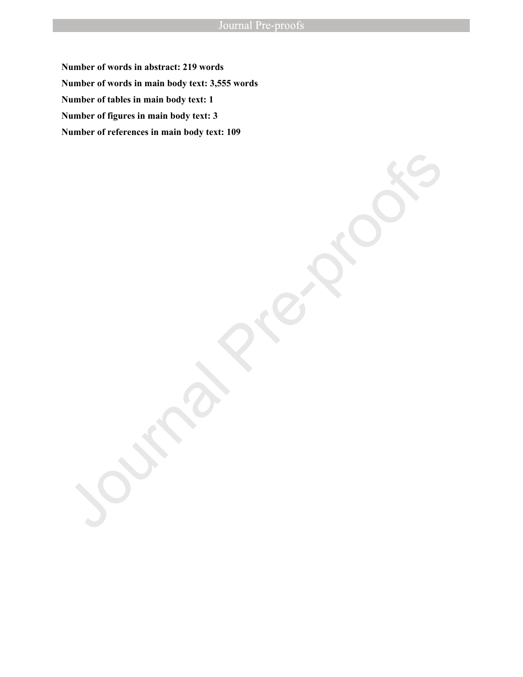**Number of words in abstract: 219 words Number of words in main body text: 3,555 words Number of tables in main body text: 1 Number of figures in main body text: 3 Number of references in main body text: 109**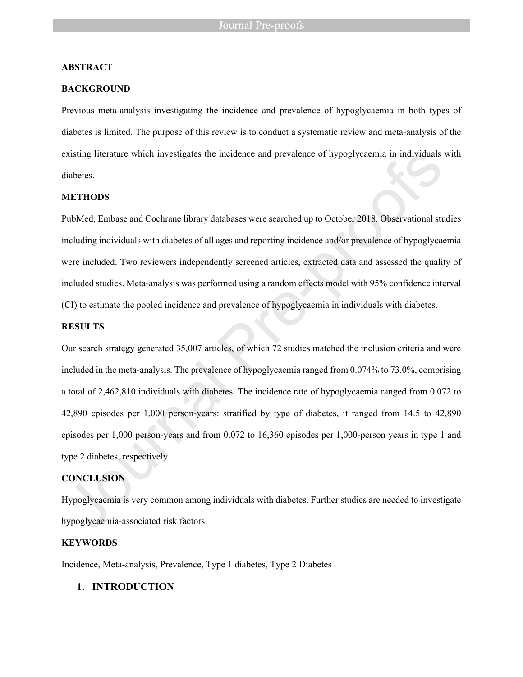### **ABSTRACT**

### **BACKGROUND**

Previous meta-analysis investigating the incidence and prevalence of hypoglycaemia in both types of diabetes is limited. The purpose of this review is to conduct a systematic review and meta-analysis of the existing literature which investigates the incidence and prevalence of hypoglycaemia in individuals with diabetes.

## **METHODS**

PubMed, Embase and Cochrane library databases were searched up to October 2018. Observational studies including individuals with diabetes of all ages and reporting incidence and/or prevalence of hypoglycaemia were included. Two reviewers independently screened articles, extracted data and assessed the quality of included studies. Meta-analysis was performed using a random effects model with 95% confidence interval (CI) to estimate the pooled incidence and prevalence of hypoglycaemia in individuals with diabetes.

### **RESULTS**

Our search strategy generated 35,007 articles, of which 72 studies matched the inclusion criteria and were included in the meta-analysis. The prevalence of hypoglycaemia ranged from 0.074% to 73.0%, comprising a total of 2,462,810 individuals with diabetes. The incidence rate of hypoglycaemia ranged from 0.072 to 42,890 episodes per 1,000 person-years: stratified by type of diabetes, it ranged from 14.5 to 42,890 episodes per 1,000 person-years and from 0.072 to 16,360 episodes per 1,000-person years in type 1 and type 2 diabetes, respectively.

#### **CONCLUSION**

Hypoglycaemia is very common among individuals with diabetes. Further studies are needed to investigate hypoglycaemia-associated risk factors.

### **KEYWORDS**

Incidence, Meta-analysis, Prevalence, Type 1 diabetes, Type 2 Diabetes

### **1. INTRODUCTION**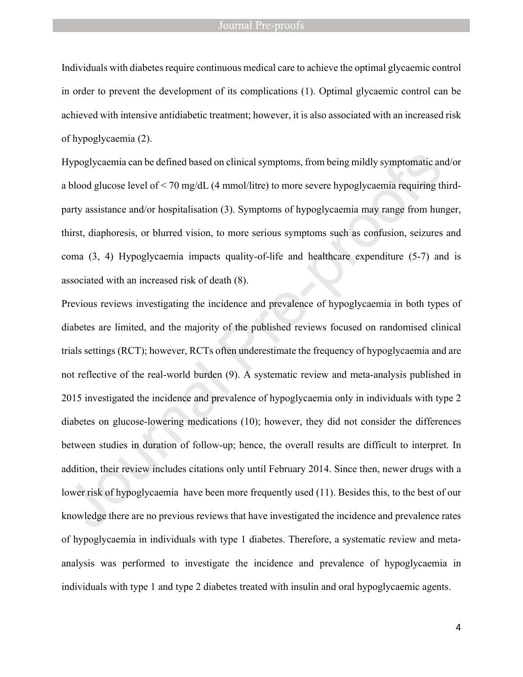Individuals with diabetes require continuous medical care to achieve the optimal glycaemic control in order to prevent the development of its complications (1). Optimal glycaemic control can be achieved with intensive antidiabetic treatment; however, it is also associated with an increased risk of hypoglycaemia (2).

Hypoglycaemia can be defined based on clinical symptoms, from being mildly symptomatic and/or a blood glucose level of < 70 mg/dL (4 mmol/litre) to more severe hypoglycaemia requiring thirdparty assistance and/or hospitalisation (3). Symptoms of hypoglycaemia may range from hunger, thirst, diaphoresis, or blurred vision, to more serious symptoms such as confusion, seizures and coma (3, 4) Hypoglycaemia impacts quality-of-life and healthcare expenditure (5-7) and is associated with an increased risk of death (8).

Previous reviews investigating the incidence and prevalence of hypoglycaemia in both types of diabetes are limited, and the majority of the published reviews focused on randomised clinical trials settings (RCT); however, RCTs often underestimate the frequency of hypoglycaemia and are not reflective of the real-world burden (9). A systematic review and meta-analysis published in 2015 investigated the incidence and prevalence of hypoglycaemia only in individuals with type 2 diabetes on glucose-lowering medications (10); however, they did not consider the differences between studies in duration of follow-up; hence, the overall results are difficult to interpret. In addition, their review includes citations only until February 2014. Since then, newer drugs with a lower risk of hypoglycaemia have been more frequently used (11). Besides this, to the best of our knowledge there are no previous reviews that have investigated the incidence and prevalence rates of hypoglycaemia in individuals with type 1 diabetes. Therefore, a systematic review and metaanalysis was performed to investigate the incidence and prevalence of hypoglycaemia in individuals with type 1 and type 2 diabetes treated with insulin and oral hypoglycaemic agents.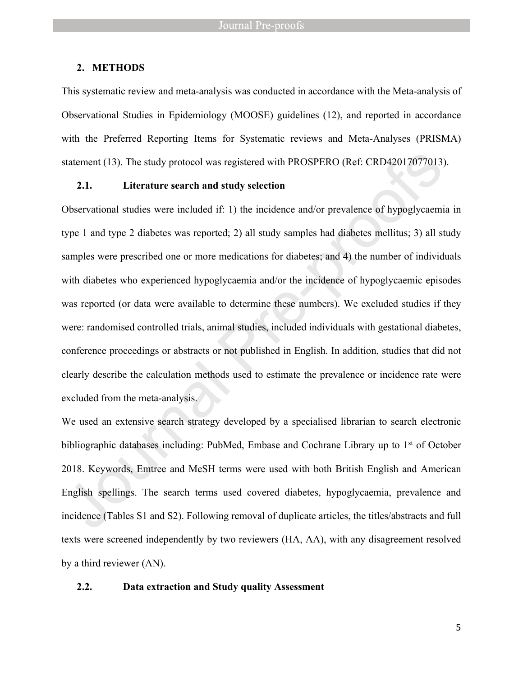### **2. METHODS**

This systematic review and meta-analysis was conducted in accordance with the Meta-analysis of Observational Studies in Epidemiology (MOOSE) guidelines (12), and reported in accordance with the Preferred Reporting Items for Systematic reviews and Meta-Analyses (PRISMA) statement (13). The study protocol was registered with PROSPERO (Ref: CRD42017077013).

## **2.1. Literature search and study selection**

Observational studies were included if: 1) the incidence and/or prevalence of hypoglycaemia in type 1 and type 2 diabetes was reported; 2) all study samples had diabetes mellitus; 3) all study samples were prescribed one or more medications for diabetes; and 4) the number of individuals with diabetes who experienced hypoglycaemia and/or the incidence of hypoglycaemic episodes was reported (or data were available to determine these numbers). We excluded studies if they were: randomised controlled trials, animal studies, included individuals with gestational diabetes, conference proceedings or abstracts or not published in English. In addition, studies that did not clearly describe the calculation methods used to estimate the prevalence or incidence rate were excluded from the meta-analysis.

We used an extensive search strategy developed by a specialised librarian to search electronic bibliographic databases including: PubMed, Embase and Cochrane Library up to  $1<sup>st</sup>$  of October 2018. Keywords, Emtree and MeSH terms were used with both British English and American English spellings. The search terms used covered diabetes, hypoglycaemia, prevalence and incidence (Tables S1 and S2). Following removal of duplicate articles, the titles/abstracts and full texts were screened independently by two reviewers (HA, AA), with any disagreement resolved by a third reviewer (AN).

#### **2.2. Data extraction and Study quality Assessment**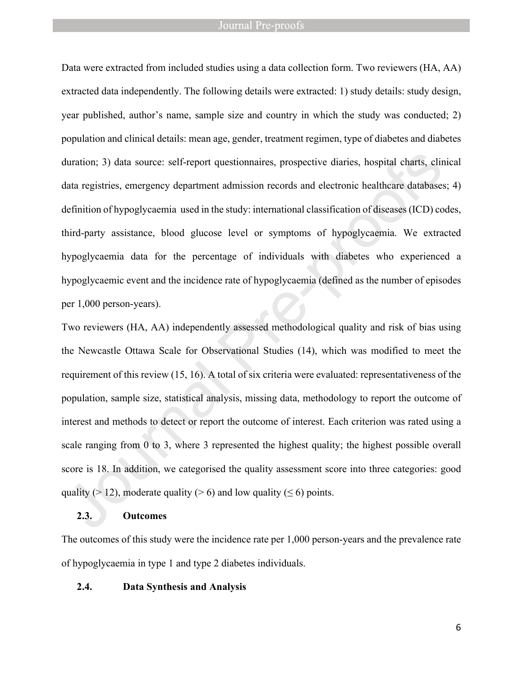Data were extracted from included studies using a data collection form. Two reviewers (HA, AA) extracted data independently. The following details were extracted: 1) study details: study design, year published, author's name, sample size and country in which the study was conducted; 2) population and clinical details: mean age, gender, treatment regimen, type of diabetes and diabetes duration; 3) data source: self-report questionnaires, prospective diaries, hospital charts, clinical data registries, emergency department admission records and electronic healthcare databases; 4) definition of hypoglycaemia used in the study: international classification of diseases (ICD) codes, third-party assistance, blood glucose level or symptoms of hypoglycaemia. We extracted hypoglycaemia data for the percentage of individuals with diabetes who experienced a hypoglycaemic event and the incidence rate of hypoglycaemia (defined as the number of episodes per 1,000 person-years).

Two reviewers (HA, AA) independently assessed methodological quality and risk of bias using the Newcastle Ottawa Scale for Observational Studies (14), which was modified to meet the requirement of this review (15, 16). A total of six criteria were evaluated: representativeness of the population, sample size, statistical analysis, missing data, methodology to report the outcome of interest and methods to detect or report the outcome of interest. Each criterion was rated using a scale ranging from 0 to 3, where 3 represented the highest quality; the highest possible overall score is 18. In addition, we categorised the quality assessment score into three categories: good quality ( $> 12$ ), moderate quality ( $> 6$ ) and low quality ( $\leq 6$ ) points.

## **2.3. Outcomes**

The outcomes of this study were the incidence rate per 1,000 person-years and the prevalence rate of hypoglycaemia in type 1 and type 2 diabetes individuals.

### **2.4. Data Synthesis and Analysis**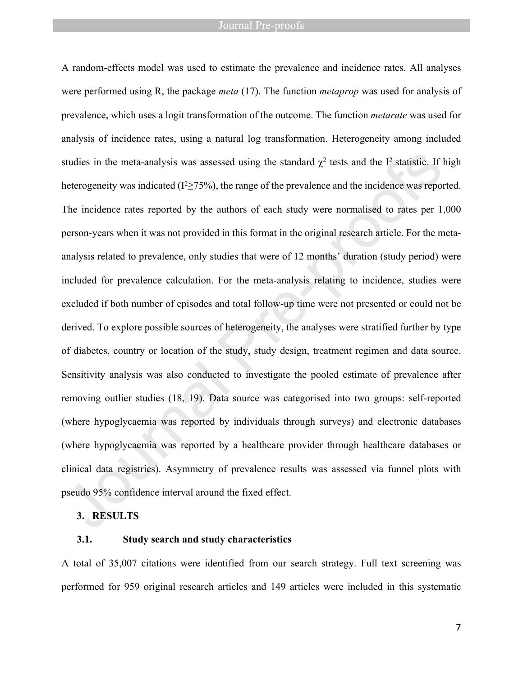A random-effects model was used to estimate the prevalence and incidence rates. All analyses were performed using R, the package *meta* (17). The function *metaprop* was used for analysis of prevalence, which uses a logit transformation of the outcome. The function *metarate* was used for analysis of incidence rates, using a natural log transformation. Heterogeneity among included studies in the meta-analysis was assessed using the standard  $\chi^2$  tests and the I<sup>2</sup> statistic. If high heterogeneity was indicated ( $I<sup>2</sup> \ge 75\%$ ), the range of the prevalence and the incidence was reported. The incidence rates reported by the authors of each study were normalised to rates per 1,000 person-years when it was not provided in this format in the original research article. For the metaanalysis related to prevalence, only studies that were of 12 months' duration (study period) were included for prevalence calculation. For the meta-analysis relating to incidence, studies were excluded if both number of episodes and total follow-up time were not presented or could not be derived. To explore possible sources of heterogeneity, the analyses were stratified further by type of diabetes, country or location of the study, study design, treatment regimen and data source. Sensitivity analysis was also conducted to investigate the pooled estimate of prevalence after removing outlier studies (18, 19). Data source was categorised into two groups: self-reported (where hypoglycaemia was reported by individuals through surveys) and electronic databases (where hypoglycaemia was reported by a healthcare provider through healthcare databases or clinical data registries). Asymmetry of prevalence results was assessed via funnel plots with pseudo 95% confidence interval around the fixed effect.

## **3. RESULTS**

### **3.1. Study search and study characteristics**

A total of 35,007 citations were identified from our search strategy. Full text screening was performed for 959 original research articles and 149 articles were included in this systematic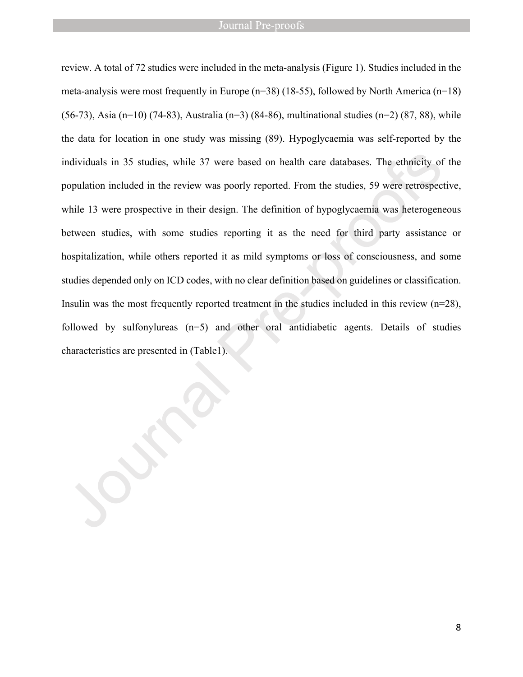review. A total of 72 studies were included in the meta-analysis (Figure 1). Studies included in the meta-analysis were most frequently in Europe  $(n=38)$  (18-55), followed by North America  $(n=18)$ (56-73), Asia (n=10) (74-83), Australia (n=3) (84-86), multinational studies (n=2) (87, 88), while the data for location in one study was missing (89). Hypoglycaemia was self-reported by the individuals in 35 studies, while 37 were based on health care databases. The ethnicity of the population included in the review was poorly reported. From the studies, 59 were retrospective, while 13 were prospective in their design. The definition of hypoglycaemia was heterogeneous between studies, with some studies reporting it as the need for third party assistance or hospitalization, while others reported it as mild symptoms or loss of consciousness, and some studies depended only on ICD codes, with no clear definition based on guidelines or classification. Insulin was the most frequently reported treatment in the studies included in this review  $(n=28)$ , followed by sulfonylureas (n=5) and other oral antidiabetic agents. Details of studies characteristics are presented in (Table1).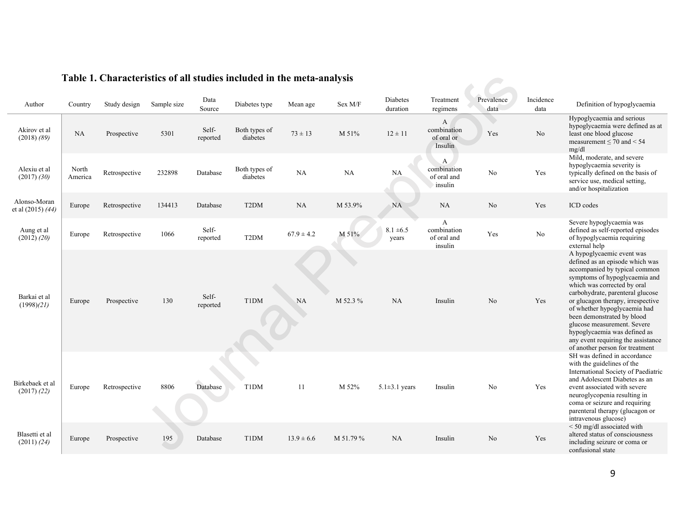| Author                             | Country          | Study design  | Sample size | Data<br>Source    | Diabetes type             | Mean age       | Sex M/F   | Diabetes<br>duration   | Treatment<br>regimens                      | Prevalence<br>data | Incidence<br>data | Definition of hypoglycaemia                                                                                                                                                                                                                                                                                                                                                                                                                  |
|------------------------------------|------------------|---------------|-------------|-------------------|---------------------------|----------------|-----------|------------------------|--------------------------------------------|--------------------|-------------------|----------------------------------------------------------------------------------------------------------------------------------------------------------------------------------------------------------------------------------------------------------------------------------------------------------------------------------------------------------------------------------------------------------------------------------------------|
| Akirov et al<br>$(2018)$ $(89)$    | <b>NA</b>        | Prospective   | 5301        | Self-<br>reported | Both types of<br>diabetes | $73 \pm 13$    | M 51%     | $12 \pm 11$            | A<br>combination<br>of oral or<br>Insulin  | Yes                | N <sub>o</sub>    | Hypoglycaemia and serious<br>hypoglycaemia were defined as at<br>least one blood glucose<br>measurement $\leq$ 70 and $<$ 54<br>mg/dl                                                                                                                                                                                                                                                                                                        |
| Alexiu et al<br>$(2017)$ $(30)$    | North<br>America | Retrospective | 232898      | Database          | Both types of<br>diabetes | NA             | NA        | NA                     | A<br>combination<br>of oral and<br>insulin | N <sub>o</sub>     | Yes               | Mild, moderate, and severe<br>hypoglycaemia severity is<br>typically defined on the basis of<br>service use, medical setting,<br>and/or hospitalization                                                                                                                                                                                                                                                                                      |
| Alonso-Moran<br>et al (2015) (44)  | Europe           | Retrospective | 134413      | Database          | T <sub>2</sub> DM         | NA             | M 53.9%   | <b>NA</b>              | NA                                         | No                 | Yes               | ICD codes                                                                                                                                                                                                                                                                                                                                                                                                                                    |
| Aung et al<br>(2012) (20)          | Europe           | Retrospective | 1066        | Self-<br>reported | T <sub>2</sub> DM         | $67.9 \pm 4.2$ | M 51%     | $8.1 \pm 6.5$<br>years | A<br>combination<br>of oral and<br>insulin | Yes                | No                | Severe hypoglycaemia was<br>defined as self-reported episodes<br>of hypoglycaemia requiring<br>external help                                                                                                                                                                                                                                                                                                                                 |
| Barkai et al<br>(1998)(21)         | Europe           | Prospective   | 130         | Self-<br>reported | T1DM                      | NA             | M 52.3 %  | NA                     | Insulin                                    | No                 | Yes               | A hypoglycaemic event was<br>defined as an episode which was<br>accompanied by typical common<br>symptoms of hypoglycaemia and<br>which was corrected by oral<br>carbohydrate, parenteral glucose<br>or glucagon therapy, irrespective<br>of whether hypoglycaemia had<br>been demonstrated by blood<br>glucose measurement. Severe<br>hypoglycaemia was defined as<br>any event requiring the assistance<br>of another person for treatment |
| Birkebaek et al<br>$(2017)$ $(22)$ | Europe           | Retrospective | 8806        | Database          | <b>T1DM</b>               | 11             | M 52%     | $5.1 \pm 3.1$ years    | Insulin                                    | N <sub>0</sub>     | Yes               | SH was defined in accordance<br>with the guidelines of the<br>International Society of Paediatric<br>and Adolescent Diabetes as an<br>event associated with severe<br>neuroglycopenia resulting in<br>coma or seizure and requiring<br>parenteral therapy (glucagon or<br>intravenous glucose)                                                                                                                                               |
| Blasetti et al<br>(2011) (24)      | Europe           | Prospective   | 195         | Database          | T1DM                      | $13.9 \pm 6.6$ | M 51.79 % | NA                     | Insulin                                    | N <sub>o</sub>     | Yes               | <50 mg/dl associated with<br>altered status of consciousness<br>including seizure or coma or<br>confusional state                                                                                                                                                                                                                                                                                                                            |

# **Table 1. Characteristics of all studies included in the meta-analysis**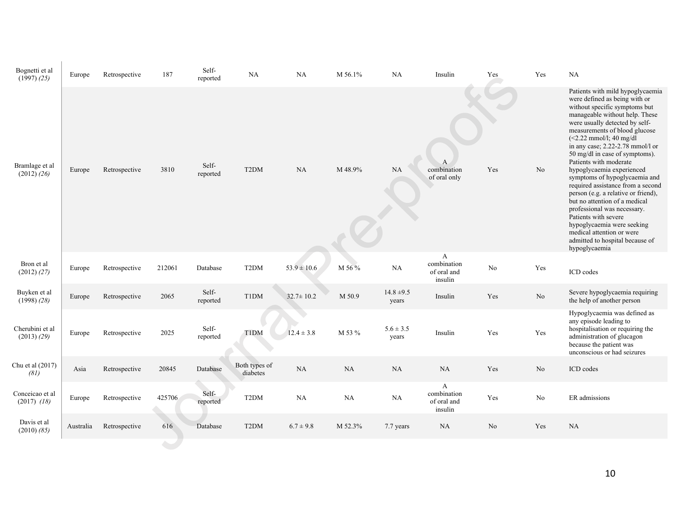| Bognetti et al<br>$(1997)$ $(25)$  | Europe    | Retrospective | 187    | Self-<br>reported | NA                        | NA              | M 56.1% | NA                      | Insulin                                    | Yes            | Yes            | NA                                                                                                                                                                                                                                                                                                                                                                                                                                                                                                                                                                                                                                                                                    |
|------------------------------------|-----------|---------------|--------|-------------------|---------------------------|-----------------|---------|-------------------------|--------------------------------------------|----------------|----------------|---------------------------------------------------------------------------------------------------------------------------------------------------------------------------------------------------------------------------------------------------------------------------------------------------------------------------------------------------------------------------------------------------------------------------------------------------------------------------------------------------------------------------------------------------------------------------------------------------------------------------------------------------------------------------------------|
| Bramlage et al<br>$(2012)$ $(26)$  | Europe    | Retrospective | 3810   | Self-<br>reported | T <sub>2</sub> DM         | NA              | M 48.9% | NA                      | A<br>combination<br>of oral only           | Yes            | N <sub>o</sub> | Patients with mild hypoglycaemia<br>were defined as being with or<br>without specific symptoms but<br>manageable without help. These<br>were usually detected by self-<br>measurements of blood glucose<br>$(<2.22$ mmol/l; 40 mg/dl<br>in any case; 2.22-2.78 mmol/l or<br>50 mg/dl in case of symptoms).<br>Patients with moderate<br>hypoglycaemia experienced<br>symptoms of hypoglycaemia and<br>required assistance from a second<br>person (e.g. a relative or friend),<br>but no attention of a medical<br>professional was necessary.<br>Patients with severe<br>hypoglycaemia were seeking<br>medical attention or were<br>admitted to hospital because of<br>hypoglycaemia |
| Bron et al<br>$(2012)$ $(27)$      | Europe    | Retrospective | 212061 | Database          | T <sub>2</sub> DM         | $53.9 \pm 10.6$ | M 56 %  | NA                      | A<br>combination<br>of oral and<br>insulin | No             | Yes            | ICD codes                                                                                                                                                                                                                                                                                                                                                                                                                                                                                                                                                                                                                                                                             |
| Buyken et al<br>$(1998)$ $(28)$    | Europe    | Retrospective | 2065   | Self-<br>reported | T1DM                      | $32.7 \pm 10.2$ | M 50.9  | $14.8 \pm 9.5$<br>years | Insulin                                    | Yes            | No             | Severe hypoglycaemia requiring<br>the help of another person                                                                                                                                                                                                                                                                                                                                                                                                                                                                                                                                                                                                                          |
| Cherubini et al<br>(2013) (29)     | Europe    | Retrospective | 2025   | Self-<br>reported | <b>T1DM</b>               | $12.4 \pm 3.8$  | M 53 %  | $5.6 \pm 3.5$<br>years  | Insulin                                    | Yes            | Yes            | Hypoglycaemia was defined as<br>any episode leading to<br>hospitalisation or requiring the<br>administration of glucagon<br>because the patient was<br>unconscious or had seizures                                                                                                                                                                                                                                                                                                                                                                                                                                                                                                    |
| Chu et al (2017)<br>(81)           | Asia      | Retrospective | 20845  | Database          | Both types of<br>diabetes | NA              | NA      | $\rm NA$                | NA                                         | Yes            | $\rm No$       | ICD codes                                                                                                                                                                                                                                                                                                                                                                                                                                                                                                                                                                                                                                                                             |
| Conceicao et al<br>$(2017)$ $(18)$ | Europe    | Retrospective | 425706 | Self-<br>reported | T <sub>2</sub> DM         | $\rm NA$        | NA      | NA                      | A<br>combination<br>of oral and<br>insulin | Yes            | No             | ER admissions                                                                                                                                                                                                                                                                                                                                                                                                                                                                                                                                                                                                                                                                         |
| Davis et al<br>$(2010)$ $(85)$     | Australia | Retrospective | 616    | Database          | T <sub>2</sub> DM         | $6.7 \pm 9.8$   | M 52.3% | 7.7 years               | <b>NA</b>                                  | N <sub>o</sub> | Yes            | NA                                                                                                                                                                                                                                                                                                                                                                                                                                                                                                                                                                                                                                                                                    |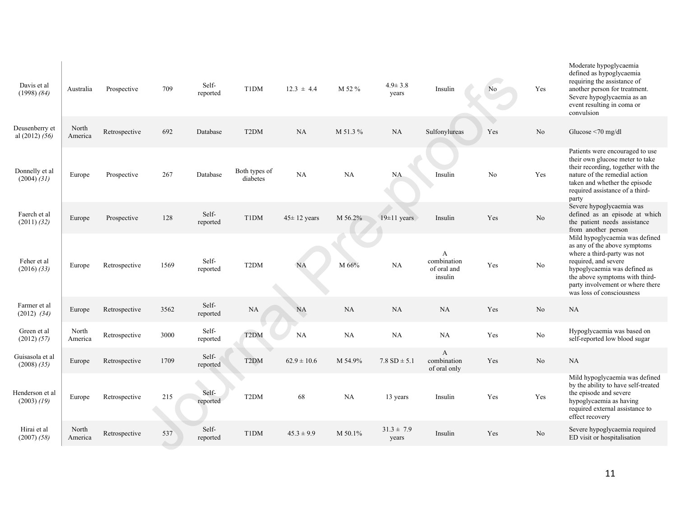| Davis et al<br>$(1998)$ $(84)$     | Australia        | Prospective   | 709  | Self-<br>reported | T1DM                      | $12.3 \pm 4.4$    | M 52 %  | $4.9 \pm 3.8$<br>years  | Insulin                                       | N <sub>0</sub> | Yes            | Moderate hypoglycaemia<br>defined as hypoglycaemia<br>requiring the assistance of<br>another person for treatment.<br>Severe hypoglycaemia as an<br>event resulting in coma or<br>convulsion                                                             |
|------------------------------------|------------------|---------------|------|-------------------|---------------------------|-------------------|---------|-------------------------|-----------------------------------------------|----------------|----------------|----------------------------------------------------------------------------------------------------------------------------------------------------------------------------------------------------------------------------------------------------------|
| Deusenberry et<br>al $(2012) (56)$ | North<br>America | Retrospective | 692  | Database          | T <sub>2</sub> DM         | NA                | M 51.3% | NA                      | Sulfonylureas                                 | Yes            | N <sub>0</sub> | Glucose $\leq 70$ mg/dl                                                                                                                                                                                                                                  |
| Donnelly et al<br>$(2004)$ $(31)$  | Europe           | Prospective   | 267  | Database          | Both types of<br>diabetes | NA                | NA      | NA.                     | Insulin                                       | No             | Yes            | Patients were encouraged to use<br>their own glucose meter to take<br>their recording, together with the<br>nature of the remedial action<br>taken and whether the episode<br>required assistance of a third-<br>party                                   |
| Faerch et al<br>$(2011)$ $(32)$    | Europe           | Prospective   | 128  | Self-<br>reported | T1DM                      | $45 \pm 12$ years | M 56.2% | $19\pm11$ years         | Insulin                                       | Yes            | N <sub>0</sub> | Severe hypoglycaemia was<br>defined as an episode at which<br>the patient needs assistance<br>from another person                                                                                                                                        |
| Feher et al<br>$(2016)$ $(33)$     | Europe           | Retrospective | 1569 | Self-<br>reported | T <sub>2</sub> DM         | <b>NA</b>         | M 66%   | $\rm NA$                | A<br>combination<br>of oral and<br>insulin    | Yes            | $\rm No$       | Mild hypoglycaemia was defined<br>as any of the above symptoms<br>where a third-party was not<br>required, and severe<br>hypoglycaemia was defined as<br>the above symptoms with third-<br>party involvement or where there<br>was loss of consciousness |
| Farmer et al<br>$(2012)$ $(34)$    | Europe           | Retrospective | 3562 | Self-<br>reported | <b>NA</b>                 | <b>NA</b>         | NA      | NA                      | NA                                            | Yes            | N <sub>o</sub> | <b>NA</b>                                                                                                                                                                                                                                                |
| Green et al<br>(2012) (57)         | North<br>America | Retrospective | 3000 | Self-<br>reported | T <sub>2</sub> DM         | NA                | NA      | NA                      | NA                                            | Yes            | No             | Hypoglycaemia was based on<br>self-reported low blood sugar                                                                                                                                                                                              |
| Guisasola et al<br>$(2008)$ $(35)$ | Europe           | Retrospective | 1709 | Self-<br>reported | T <sub>2</sub> DM         | $62.9 \pm 10.6$   | M 54.9% | $7.8$ SD $\pm$ 5.1      | $\overline{A}$<br>combination<br>of oral only | Yes            | N <sub>0</sub> | NA                                                                                                                                                                                                                                                       |
| Henderson et al<br>$(2003)$ $(19)$ | Europe           | Retrospective | 215  | Self-<br>reported | T <sub>2</sub> DM         | 68                | NA      | 13 years                | Insulin                                       | Yes            | Yes            | Mild hypoglycaemia was defined<br>by the ability to have self-treated<br>the episode and severe<br>hypoglycaemia as having<br>required external assistance to<br>effect recovery                                                                         |
| Hirai et al<br>$(2007)$ $(58)$     | North<br>America | Retrospective | 537  | Self-<br>reported | T1DM                      | $45.3 \pm 9.9$    | M 50.1% | $31.3 \pm 7.9$<br>years | Insulin                                       | Yes            | N <sub>0</sub> | Severe hypoglycaemia required<br>ED visit or hospitalisation                                                                                                                                                                                             |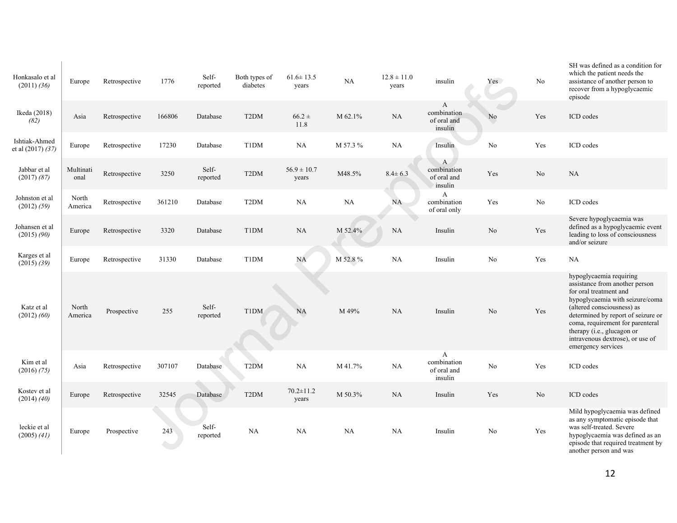| Honkasalo et al<br>$(2011)$ $(36)$ | Europe            | Retrospective | 1776   | Self-<br>reported | Both types of<br>diabetes | $61.6 \pm 13.5$<br>years | $_{\rm NA}$ | $12.8 \pm 11.0$<br>years | insulin                                     | Yes            | No             | SH was defined as a condition for<br>which the patient needs the<br>assistance of another person to<br>recover from a hypoglycaemic<br>episode                                                                                                                                                                         |
|------------------------------------|-------------------|---------------|--------|-------------------|---------------------------|--------------------------|-------------|--------------------------|---------------------------------------------|----------------|----------------|------------------------------------------------------------------------------------------------------------------------------------------------------------------------------------------------------------------------------------------------------------------------------------------------------------------------|
| Ikeda (2018)<br>(82)               | Asia              | Retrospective | 166806 | Database          | T <sub>2</sub> DM         | $66.2 \pm$<br>11.8       | M 62.1%     | NA                       | A<br>combination<br>of oral and<br>insulin  | N <sub>o</sub> | Yes            | ICD codes                                                                                                                                                                                                                                                                                                              |
| Ishtiak-Ahmed<br>et al (2017) (37) | Europe            | Retrospective | 17230  | Database          | T1DM                      | <b>NA</b>                | M 57.3 %    | NA                       | Insulin                                     | No             | Yes            | ICD codes                                                                                                                                                                                                                                                                                                              |
| Jabbar et al<br>$(2017)$ $(87)$    | Multinati<br>onal | Retrospective | 3250   | Self-<br>reported | T <sub>2</sub> DM         | $56.9 \pm 10.7$<br>years | M48.5%      | $8.4 \pm 6.3$            | A<br>combination<br>of oral and<br>insulin  | Yes            | No             | NA                                                                                                                                                                                                                                                                                                                     |
| Johnston et al<br>(2012) (59)      | North<br>America  | Retrospective | 361210 | Database          | T <sub>2</sub> DM         | <b>NA</b>                | NA          | NA                       | $\mathbf{A}$<br>combination<br>of oral only | Yes            | $\rm No$       | ICD codes                                                                                                                                                                                                                                                                                                              |
| Johansen et al<br>$(2015)$ $(90)$  | Europe            | Retrospective | 3320   | Database          | T1DM                      | <b>NA</b>                | M 52.4%     | <b>NA</b>                | Insulin                                     | N <sub>o</sub> | Yes            | Severe hypoglycaemia was<br>defined as a hypoglycaemic event<br>leading to loss of consciousness<br>and/or seizure                                                                                                                                                                                                     |
| Karges et al<br>$(2015)$ $(39)$    | Europe            | Retrospective | 31330  | Database          | T1DM                      | <b>NA</b>                | M 52.8%     | <b>NA</b>                | Insulin                                     | No             | Yes            | NA                                                                                                                                                                                                                                                                                                                     |
| Katz et al<br>$(2012)$ $(60)$      | North<br>America  | Prospective   | 255    | Self-<br>reported | T1DM                      | <b>NA</b>                | M 49%       | <b>NA</b>                | Insulin                                     | N <sub>0</sub> | Yes            | hypoglycaemia requiring<br>assistance from another person<br>for oral treatment and<br>hypoglycaemia with seizure/coma<br>(altered consciousness) as<br>determined by report of seizure or<br>coma, requirement for parenteral<br>therapy (i.e., glucagon or<br>intravenous dextrose), or use of<br>emergency services |
| Kim et al<br>$(2016)$ $(75)$       | Asia              | Retrospective | 307107 | Database          | T <sub>2</sub> DM         | <b>NA</b>                | M 41.7%     | <b>NA</b>                | A<br>combination<br>of oral and<br>insulin  | No             | Yes            | ICD codes                                                                                                                                                                                                                                                                                                              |
| Kostev et al<br>$(2014)$ $(40)$    | Europe            | Retrospective | 32545  | Database          | T <sub>2</sub> DM         | $70.2 \pm 11.2$<br>years | M 50.3%     | <b>NA</b>                | Insulin                                     | Yes            | N <sub>o</sub> | ICD codes                                                                                                                                                                                                                                                                                                              |
| leckie et al<br>$(2005)$ $(41)$    | Europe            | Prospective   | 243    | Self-<br>reported | <b>NA</b>                 | NA                       | NA          | <b>NA</b>                | Insulin                                     | No             | Yes            | Mild hypoglycaemia was defined<br>as any symptomatic episode that<br>was self-treated. Severe<br>hypoglycaemia was defined as an<br>episode that required treatment by<br>another person and was                                                                                                                       |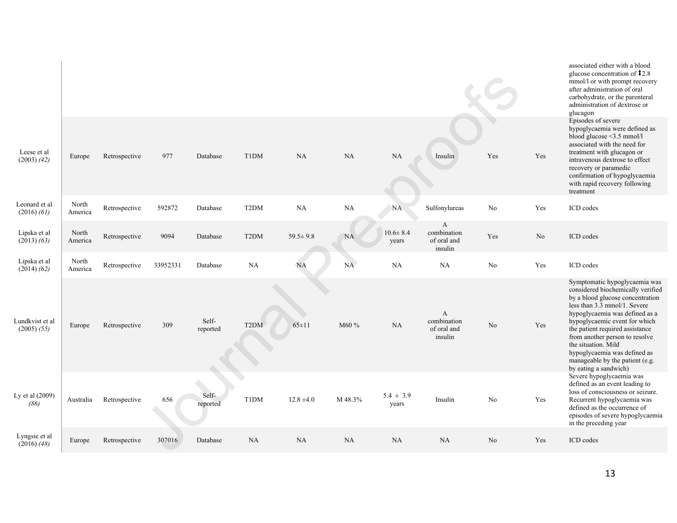|                                    |                  |               |          |                   |                   |                |           |                         |                                            |                |     | associated either with a blood<br>glucose concentration of $\textcolor{red}{\textbf{1}}2.8$<br>mmol/l or with prompt recovery<br>after administration of oral<br>carbohydrate, or the parenteral<br>administration of dextrose or<br>glucagon                                                                                                                                                     |
|------------------------------------|------------------|---------------|----------|-------------------|-------------------|----------------|-----------|-------------------------|--------------------------------------------|----------------|-----|---------------------------------------------------------------------------------------------------------------------------------------------------------------------------------------------------------------------------------------------------------------------------------------------------------------------------------------------------------------------------------------------------|
| Leese et al<br>$(2003)$ $(42)$     | Europe           | Retrospective | 977      | Database          | T1DM              | NA             | <b>NA</b> | <b>NA</b>               | Insulin                                    | Yes            | Yes | Episodes of severe<br>hypoglycaemia were defined as<br>blood glucose $\leq$ 3.5 mmol/l<br>associated with the need for<br>treatment with glucagon or<br>intravenous dextrose to effect<br>recovery or paramedic<br>confirmation of hypoglycaemia<br>with rapid recovery following<br>treatment                                                                                                    |
| Leonard et al<br>$(2016)$ $(61)$   | North<br>America | Retrospective | 592872   | Database          | T <sub>2</sub> DM | NA             | NA        | <b>NA</b>               | Sulfonylureas                              | No             | Yes | ICD codes                                                                                                                                                                                                                                                                                                                                                                                         |
| Lipska et al<br>$(2013)$ $(63)$    | North<br>America | Retrospective | 9094     | Database          | T <sub>2</sub> DM | $59.5 \pm 9.8$ | <b>NA</b> | $10.6 \pm 8.4$<br>years | A<br>combination<br>of oral and<br>insulin | Yes            | No  | ICD codes                                                                                                                                                                                                                                                                                                                                                                                         |
| Lipska et al<br>$(2014)$ $(62)$    | North<br>America | Retrospective | 33952331 | Database          | <b>NA</b>         | <b>NA</b>      | $\rm NA$  | NA                      | NA                                         | No             | Yes | ICD codes                                                                                                                                                                                                                                                                                                                                                                                         |
| Lundkvist et al<br>$(2005)$ $(55)$ | Europe           | Retrospective | 309      | Self-<br>reported | T <sub>2</sub> DM | $65 \pm 11$    | M60 %     | NA                      | A<br>combination<br>of oral and<br>insulin | N <sub>0</sub> | Yes | Symptomatic hypoglycaemia was<br>considered biochemically verified<br>by a blood glucose concentration<br>less than 3.3 mmol/1. Severe<br>hypoglycaemia was defined as a<br>hypoglycaemic event for which<br>the patient required assistance<br>from another person to resolve<br>the situation. Mild<br>hypoglycaemia was defined as<br>manageable by the patient (e.g.<br>by eating a sandwich) |
| Ly et al (2009)<br>(86)            | Australia        | Retrospective | 656      | Self-<br>reported | T1DM              | $12.8 \pm 4.0$ | M 48.3%   | $5.4 \pm 3.9$<br>years  | Insulin                                    | No             | Yes | Severe hypoglycaemia was<br>defined as an event leading to<br>loss of consciousness or seizure.<br>Recurrent hypoglycaemia was<br>defined as the occurrence of<br>episodes of severe hypoglycaemia<br>in the preceding year                                                                                                                                                                       |
| Lyngsie et al<br>$(2016)$ $(48)$   | Europe           | Retrospective | 307016   | Database          | NA                | NA             | NA        | NA                      | <b>NA</b>                                  | N <sub>o</sub> | Yes | ICD codes                                                                                                                                                                                                                                                                                                                                                                                         |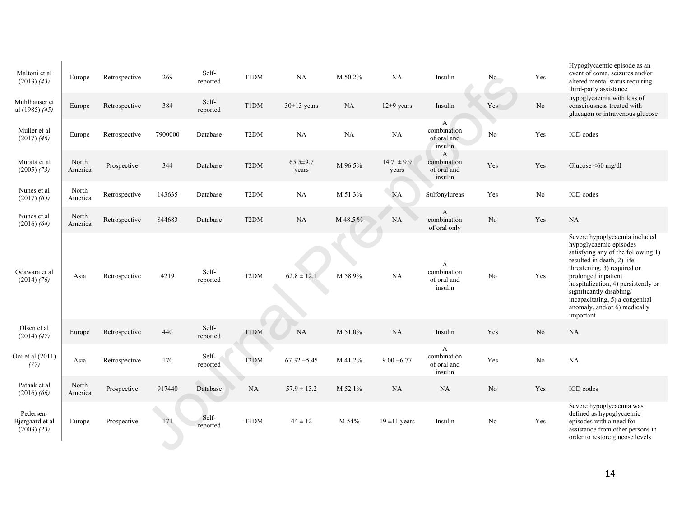| Maltoni et al<br>$(2013)$ $(43)$                | Europe           | Retrospective | 269     | Self-<br>reported | T1DM              | NA                      | M 50.2% | <b>NA</b>               | Insulin                                    | No.            | Yes      | Hypoglycaemic episode as an<br>event of coma, seizures and/or<br>altered mental status requiring<br>third-party assistance                                                                                                                                                                                                            |
|-------------------------------------------------|------------------|---------------|---------|-------------------|-------------------|-------------------------|---------|-------------------------|--------------------------------------------|----------------|----------|---------------------------------------------------------------------------------------------------------------------------------------------------------------------------------------------------------------------------------------------------------------------------------------------------------------------------------------|
| Muhlhauser et<br>al (1985) $(45)$               | Europe           | Retrospective | 384     | Self-<br>reported | T1DM              | $30\pm13$ years         | NA      | $12\pm9$ years          | Insulin                                    | Yes            | $\rm No$ | hypoglycaemia with loss of<br>consciousness treated with<br>glucagon or intravenous glucose                                                                                                                                                                                                                                           |
| Muller et al<br>$(2017)$ $(46)$                 | Europe           | Retrospective | 7900000 | Database          | T <sub>2</sub> DM | NA                      | NA      | <b>NA</b>               | A<br>combination<br>of oral and<br>insulin | No             | Yes      | ICD codes                                                                                                                                                                                                                                                                                                                             |
| Murata et al<br>$(2005)$ $(73)$                 | North<br>America | Prospective   | 344     | Database          | T <sub>2</sub> DM | $65.5 \pm 9.7$<br>vears | M 96.5% | $14.7 \pm 9.9$<br>years | A<br>combination<br>of oral and<br>insulin | Yes            | Yes      | Glucose < $60$ mg/dl                                                                                                                                                                                                                                                                                                                  |
| Nunes et al<br>$(2017)$ $(65)$                  | North<br>America | Retrospective | 143635  | Database          | T <sub>2</sub> DM | NA                      | M 51.3% | <b>NA</b>               | Sulfonylureas                              | Yes            | No       | ICD codes                                                                                                                                                                                                                                                                                                                             |
| Nunes et al<br>$(2016)$ $(64)$                  | North<br>America | Retrospective | 844683  | Database          | T <sub>2</sub> DM | NA                      | M 48.5% | <b>NA</b>               | A<br>combination<br>of oral only           | N <sub>0</sub> | Yes      | NA                                                                                                                                                                                                                                                                                                                                    |
| Odawara et al<br>(2014) (76)                    | Asia             | Retrospective | 4219    | Self-<br>reported | T <sub>2</sub> DM | $62.8 \pm 12.1$         | M 58.9% | <b>NA</b>               | A<br>combination<br>of oral and<br>insulin | No             | Yes      | Severe hypoglycaemia included<br>hypoglycaemic episodes<br>satisfying any of the following 1)<br>resulted in death, 2) life-<br>threatening, 3) required or<br>prolonged inpatient<br>hospitalization, 4) persistently or<br>significantly disabling/<br>incapacitating, 5) a congenital<br>anomaly, and/or 6) medically<br>important |
| Olsen et al<br>$(2014)$ $(47)$                  | Europe           | Retrospective | 440     | Self-<br>reported | <b>T1DM</b>       | <b>NA</b>               | M 51.0% | NA                      | Insulin                                    | Yes            | $\rm No$ | NA                                                                                                                                                                                                                                                                                                                                    |
| Ooi et al (2011)<br>(77)                        | Asia             | Retrospective | 170     | Self-<br>reported | T <sub>2</sub> DM | $67.32 + 5.45$          | M 41.2% | $9.00 \pm 6.77$         | A<br>combination<br>of oral and<br>insulin | Yes            | No       | <b>NA</b>                                                                                                                                                                                                                                                                                                                             |
| Pathak et al<br>$(2016)$ $(66)$                 | North<br>America | Prospective   | 917440  | Database          | <b>NA</b>         | $57.9 \pm 13.2$         | M 52.1% | $\rm NA$                | <b>NA</b>                                  | $\rm No$       | Yes      | ICD codes                                                                                                                                                                                                                                                                                                                             |
| Pedersen-<br>Bjergaard et al<br>$(2003)$ $(23)$ | Europe           | Prospective   | 171     | Self-<br>reported | T1DM              | $44 \pm 12$             | M 54%   | $19 \pm 11$ years       | Insulin                                    | N <sub>0</sub> | Yes      | Severe hypoglycaemia was<br>defined as hypoglycaemic<br>episodes with a need for<br>assistance from other persons in<br>order to restore glucose levels                                                                                                                                                                               |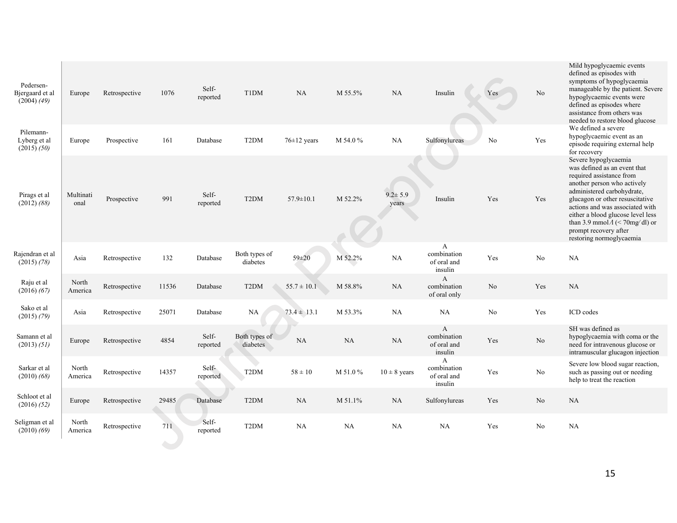| Pedersen-<br>Bjergaard et al<br>$(2004)$ $(49)$ | Europe            | Retrospective | 1076  | Self-<br>reported | T1DM                      | NA                | M 55.5%  | NA                     | Insulin                                               | Yes      | No             | Mild hypoglycaemic events<br>defined as episodes with<br>symptoms of hypoglycaemia<br>manageable by the patient. Severe<br>hypoglycaemic events were<br>defined as episodes where<br>assistance from others was<br>needed to restore blood glucose                                                                                                      |
|-------------------------------------------------|-------------------|---------------|-------|-------------------|---------------------------|-------------------|----------|------------------------|-------------------------------------------------------|----------|----------------|---------------------------------------------------------------------------------------------------------------------------------------------------------------------------------------------------------------------------------------------------------------------------------------------------------------------------------------------------------|
| Pilemann-<br>Lyberg et al<br>(2015) (50)        | Europe            | Prospective   | 161   | Database          | T <sub>2</sub> DM         | $76 \pm 12$ years | M 54.0 % | NA                     | Sulfonylureas                                         | No       | Yes            | We defined a severe<br>hypoglycaemic event as an<br>episode requiring external help<br>for recovery                                                                                                                                                                                                                                                     |
| Pirags et al<br>$(2012)$ $(88)$                 | Multinati<br>onal | Prospective   | 991   | Self-<br>reported | T <sub>2</sub> DM         | $57.9 \pm 10.1$   | M 52.2%  | $9.2 \pm 5.9$<br>years | Insulin                                               | Yes      | Yes            | Severe hypoglycaemia<br>was defined as an event that<br>required assistance from<br>another person who actively<br>administered carbohydrate,<br>glucagon or other resuscitative<br>actions and was associated with<br>either a blood glucose level less<br>than 3.9 mmol $\Lambda$ (< 70mg/dl) or<br>prompt recovery after<br>restoring normoglycaemia |
| Rajendran et al<br>$(2015)$ $(78)$              | Asia              | Retrospective | 132   | Database          | Both types of<br>diabetes | $59 \pm 20$       | M 52.2%  | NA                     | A<br>combination<br>of oral and<br>insulin            | Yes      | No             | NA                                                                                                                                                                                                                                                                                                                                                      |
| Raju et al<br>$(2016)$ $(67)$                   | North<br>America  | Retrospective | 11536 | Database          | T <sub>2</sub> DM         | $55.7 \pm 10.1$   | M 58.8%  | NA                     | A<br>combination<br>of oral only                      | $\rm No$ | Yes            | NA                                                                                                                                                                                                                                                                                                                                                      |
| Sako et al<br>$(2015)$ $(79)$                   | Asia              | Retrospective | 25071 | Database          | NA                        | $73.4 \pm 13.1$   | M 53.3%  | NA                     | NA                                                    | No       | Yes            | ICD codes                                                                                                                                                                                                                                                                                                                                               |
| Samann et al<br>(2013) (51)                     | Europe            | Retrospective | 4854  | Self-<br>reported | Both types of<br>diabetes | NA                | NA       | NA                     | $\mathbf{A}$<br>combination<br>of oral and<br>insulin | Yes      | N <sub>o</sub> | SH was defined as<br>hypoglycaemia with coma or the<br>need for intravenous glucose or<br>intramuscular glucagon injection                                                                                                                                                                                                                              |
| Sarkar et al<br>$(2010)$ $(68)$                 | North<br>America  | Retrospective | 14357 | Self-<br>reported | T <sub>2</sub> DM         | $58 \pm 10$       | M 51.0%  | $10 \pm 8$ years       | $\mathbf{A}$<br>combination<br>of oral and<br>insulin | Yes      | No             | Severe low blood sugar reaction,<br>such as passing out or needing<br>help to treat the reaction                                                                                                                                                                                                                                                        |
| Schloot et al<br>(2016) (52)                    | Europe            | Retrospective | 29485 | Database          | T <sub>2</sub> DM         | NA                | M 51.1%  | NA                     | Sulfonylureas                                         | Yes      | N <sub>o</sub> | <b>NA</b>                                                                                                                                                                                                                                                                                                                                               |
| Seligman et al<br>$(2010)$ $(69)$               | North<br>America  | Retrospective | 711   | Self-<br>reported | T <sub>2</sub> DM         | NA                | NA       | NA                     | NA                                                    | Yes      | No             | <b>NA</b>                                                                                                                                                                                                                                                                                                                                               |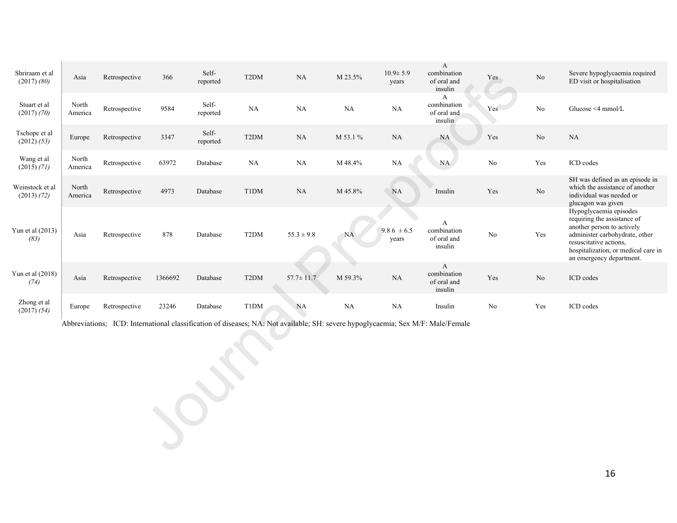| Shriraam et al<br>$(2017)$ $(80)$ | Asia             | Retrospective | 366     | Self-<br>reported | T <sub>2</sub> DM | NA              | M 23.5%   | $10.9 \pm 5.9$<br>years | A<br>combination<br>of oral and<br>insulin | Yes            | No       | Severe hypoglycaemia required<br>ED visit or hospitalisation                                                                                                                                                       |
|-----------------------------------|------------------|---------------|---------|-------------------|-------------------|-----------------|-----------|-------------------------|--------------------------------------------|----------------|----------|--------------------------------------------------------------------------------------------------------------------------------------------------------------------------------------------------------------------|
| Stuart et al<br>(2017) (70)       | North<br>America | Retrospective | 9584    | Self-<br>reported | NA                | NA              | <b>NA</b> | <b>NA</b>               | A<br>combination<br>of oral and<br>insulin | Yes            | No       | Glucose $\leq 4$ mmol/L                                                                                                                                                                                            |
| Tschope et al<br>(2012) (53)      | Europe           | Retrospective | 3347    | Self-<br>reported | T <sub>2</sub> DM | <b>NA</b>       | M 53.1 %  | <b>NA</b>               | <b>NA</b>                                  | Yes            | No       | <b>NA</b>                                                                                                                                                                                                          |
| Wang et al<br>$(2015)$ $(71)$     | North<br>America | Retrospective | 63972   | Database          | NA                | NA              | M 48.4%   | <b>NA</b>               | <b>NA</b>                                  | No             | Yes      | ICD codes                                                                                                                                                                                                          |
| Weinstock et al<br>(2013) (72)    | North<br>America | Retrospective | 4973    | Database          | T1DM              | <b>NA</b>       | M 45.8%   | <b>NA</b>               | Insulin                                    | Yes            | $\rm No$ | SH was defined as an episode in<br>which the assistance of another<br>individual was needed or<br>glucagon was given                                                                                               |
| Yun et al (2013)<br>(83)          | Asia             | Retrospective | 878     | Database          | T <sub>2</sub> DM | $55.3 \pm 9.8$  | <b>NA</b> | $9.86 \pm 6.5$<br>years | A<br>combination<br>of oral and<br>insulin | N <sub>0</sub> | Yes      | Hypoglycaemia episodes<br>requiring the assistance of<br>another person to actively<br>administer carbohydrate, other<br>resuscitative actions.<br>hospitalization, or medical care in<br>an emergency department. |
| Yun et al (2018)<br>(74)          | Asia             | Retrospective | 1366692 | Database          | T <sub>2</sub> DM | $57.7 \pm 11.7$ | M 59.3%   | <b>NA</b>               | A<br>combination<br>of oral and<br>insulin | Yes            | No       | ICD codes                                                                                                                                                                                                          |
| Zhong et al<br>(2017) (54)        | Europe           | Retrospective | 23246   | Database          | T1DM              | <b>NA</b>       | <b>NA</b> | <b>NA</b>               | Insulin                                    | N <sub>0</sub> | Yes      | ICD codes                                                                                                                                                                                                          |

Abbreviations; ICD: International classification of diseases; NA: Not available; SH: severe hypoglycaemia; Sex M/F: Male/Female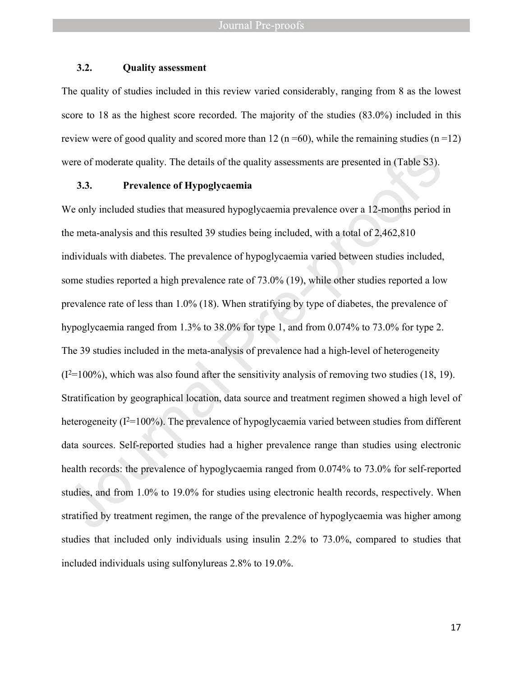## **3.2. Quality assessment**

The quality of studies included in this review varied considerably, ranging from 8 as the lowest score to 18 as the highest score recorded. The majority of the studies (83.0%) included in this review were of good quality and scored more than 12 (n =60), while the remaining studies (n=12) were of moderate quality. The details of the quality assessments are presented in (Table S3).

## **3.3. Prevalence of Hypoglycaemia**

We only included studies that measured hypoglycaemia prevalence over a 12-months period in the meta-analysis and this resulted 39 studies being included, with a total of 2,462,810 individuals with diabetes. The prevalence of hypoglycaemia varied between studies included, some studies reported a high prevalence rate of 73.0% (19), while other studies reported a low prevalence rate of less than 1.0% (18). When stratifying by type of diabetes, the prevalence of hypoglycaemia ranged from 1.3% to 38.0% for type 1, and from 0.074% to 73.0% for type 2. The 39 studies included in the meta-analysis of prevalence had a high-level of heterogeneity  $(I<sup>2</sup>=100\%)$ , which was also found after the sensitivity analysis of removing two studies (18, 19). Stratification by geographical location, data source and treatment regimen showed a high level of heterogeneity  $(I^2=100\%)$ . The prevalence of hypoglycaemia varied between studies from different data sources. Self-reported studies had a higher prevalence range than studies using electronic health records: the prevalence of hypoglycaemia ranged from 0.074% to 73.0% for self-reported studies, and from 1.0% to 19.0% for studies using electronic health records, respectively. When stratified by treatment regimen, the range of the prevalence of hypoglycaemia was higher among studies that included only individuals using insulin 2.2% to 73.0%, compared to studies that included individuals using sulfonylureas 2.8% to 19.0%.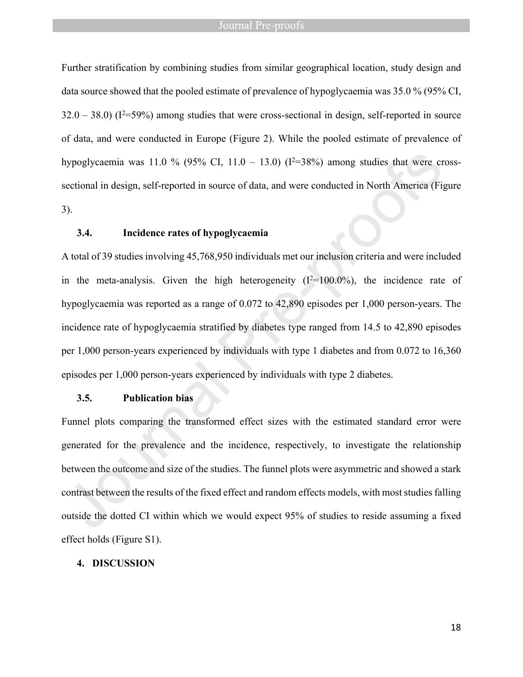Further stratification by combining studies from similar geographical location, study design and data source showed that the pooled estimate of prevalence of hypoglycaemia was 35.0 % (95% CI,  $32.0 - 38.0$ ) ( $I^2 = 59\%$ ) among studies that were cross-sectional in design, self-reported in source of data, and were conducted in Europe (Figure 2). While the pooled estimate of prevalence of hypoglycaemia was 11.0 % (95% CI, 11.0 - 13.0) ( $I^2=38\%$ ) among studies that were crosssectional in design, self-reported in source of data, and were conducted in North America (Figure 3).

## **3.4. Incidence rates of hypoglycaemia**

A total of 39 studies involving 45,768,950 individuals met our inclusion criteria and were included in the meta-analysis. Given the high heterogeneity  $(I^2=100.0\%)$ , the incidence rate of hypoglycaemia was reported as a range of 0.072 to 42,890 episodes per 1,000 person-years. The incidence rate of hypoglycaemia stratified by diabetes type ranged from 14.5 to 42,890 episodes per 1,000 person-years experienced by individuals with type 1 diabetes and from 0.072 to 16,360 episodes per 1,000 person-years experienced by individuals with type 2 diabetes.

## **3.5. Publication bias**

Funnel plots comparing the transformed effect sizes with the estimated standard error were generated for the prevalence and the incidence, respectively, to investigate the relationship between the outcome and size of the studies. The funnel plots were asymmetric and showed a stark contrast between the results of the fixed effect and random effects models, with most studies falling outside the dotted CI within which we would expect 95% of studies to reside assuming a fixed effect holds (Figure S1).

### **4. DISCUSSION**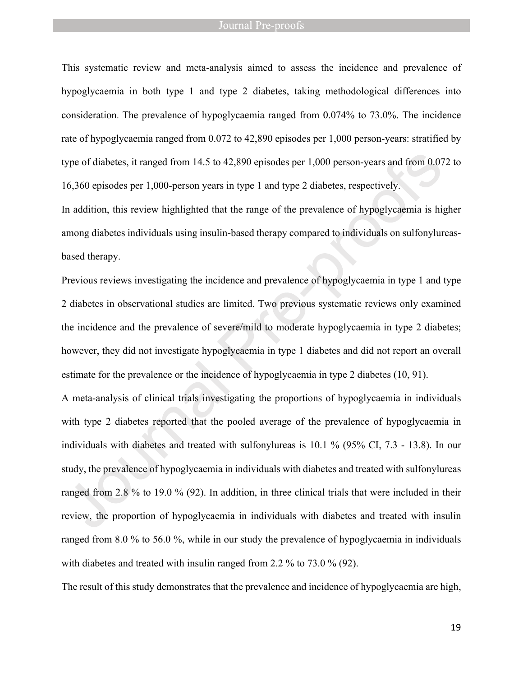This systematic review and meta-analysis aimed to assess the incidence and prevalence of hypoglycaemia in both type 1 and type 2 diabetes, taking methodological differences into consideration. The prevalence of hypoglycaemia ranged from 0.074% to 73.0%. The incidence rate of hypoglycaemia ranged from 0.072 to 42,890 episodes per 1,000 person-years: stratified by type of diabetes, it ranged from 14.5 to 42,890 episodes per 1,000 person-years and from 0.072 to 16,360 episodes per 1,000-person years in type 1 and type 2 diabetes, respectively.

In addition, this review highlighted that the range of the prevalence of hypoglycaemia is higher among diabetes individuals using insulin-based therapy compared to individuals on sulfonylureasbased therapy.

Previous reviews investigating the incidence and prevalence of hypoglycaemia in type 1 and type 2 diabetes in observational studies are limited. Two previous systematic reviews only examined the incidence and the prevalence of severe/mild to moderate hypoglycaemia in type 2 diabetes; however, they did not investigate hypoglycaemia in type 1 diabetes and did not report an overall estimate for the prevalence or the incidence of hypoglycaemia in type 2 diabetes (10, 91).

A meta-analysis of clinical trials investigating the proportions of hypoglycaemia in individuals with type 2 diabetes reported that the pooled average of the prevalence of hypoglycaemia in individuals with diabetes and treated with sulfonylureas is 10.1 % (95% CI, 7.3 - 13.8). In our study, the prevalence of hypoglycaemia in individuals with diabetes and treated with sulfonylureas ranged from 2.8 % to 19.0 % (92). In addition, in three clinical trials that were included in their review, the proportion of hypoglycaemia in individuals with diabetes and treated with insulin ranged from 8.0 % to 56.0 %, while in our study the prevalence of hypoglycaemia in individuals with diabetes and treated with insulin ranged from 2.2 % to 73.0 % (92).

The result of this study demonstrates that the prevalence and incidence of hypoglycaemia are high,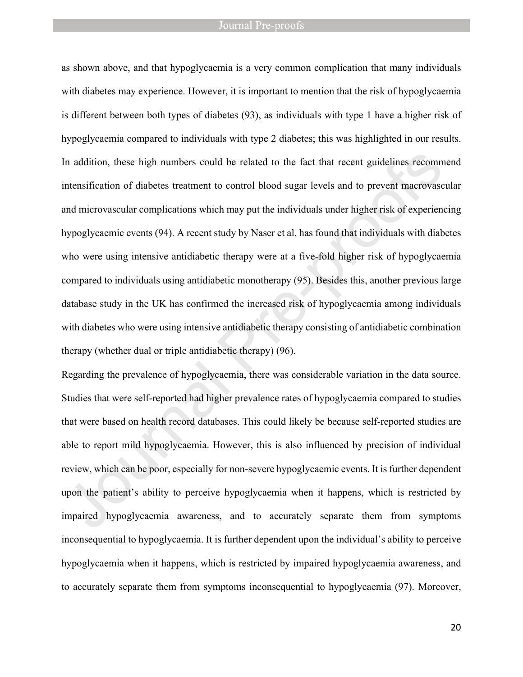as shown above, and that hypoglycaemia is a very common complication that many individuals with diabetes may experience. However, it is important to mention that the risk of hypoglycaemia is different between both types of diabetes (93), as individuals with type 1 have a higher risk of hypoglycaemia compared to individuals with type 2 diabetes; this was highlighted in our results. In addition, these high numbers could be related to the fact that recent guidelines recommend intensification of diabetes treatment to control blood sugar levels and to prevent macrovascular and microvascular complications which may put the individuals under higher risk of experiencing hypoglycaemic events (94). A recent study by Naser et al. has found that individuals with diabetes who were using intensive antidiabetic therapy were at a five-fold higher risk of hypoglycaemia compared to individuals using antidiabetic monotherapy (95). Besides this, another previous large database study in the UK has confirmed the increased risk of hypoglycaemia among individuals with diabetes who were using intensive antidiabetic therapy consisting of antidiabetic combination therapy (whether dual or triple antidiabetic therapy) (96).

Regarding the prevalence of hypoglycaemia, there was considerable variation in the data source. Studies that were self-reported had higher prevalence rates of hypoglycaemia compared to studies that were based on health record databases. This could likely be because self-reported studies are able to report mild hypoglycaemia. However, this is also influenced by precision of individual review, which can be poor, especially for non-severe hypoglycaemic events. It is further dependent upon the patient's ability to perceive hypoglycaemia when it happens, which is restricted by impaired hypoglycaemia awareness, and to accurately separate them from symptoms inconsequential to hypoglycaemia. It is further dependent upon the individual's ability to perceive hypoglycaemia when it happens, which is restricted by impaired hypoglycaemia awareness, and to accurately separate them from symptoms inconsequential to hypoglycaemia (97). Moreover,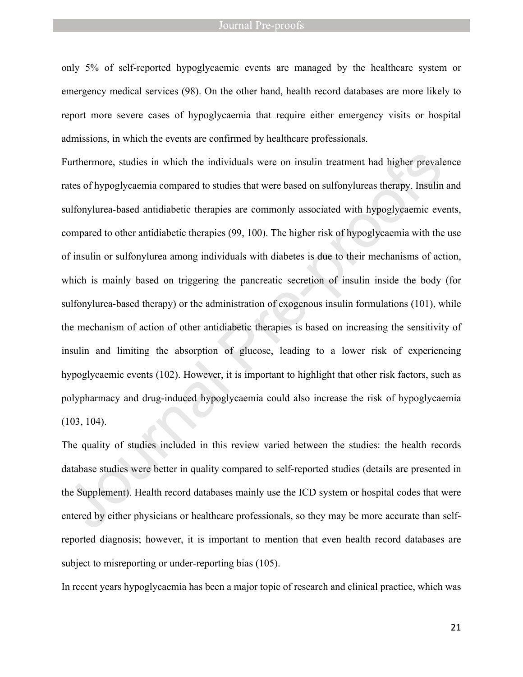only 5% of self-reported hypoglycaemic events are managed by the healthcare system or emergency medical services (98). On the other hand, health record databases are more likely to report more severe cases of hypoglycaemia that require either emergency visits or hospital admissions, in which the events are confirmed by healthcare professionals.

Furthermore, studies in which the individuals were on insulin treatment had higher prevalence rates of hypoglycaemia compared to studies that were based on sulfonylureas therapy. Insulin and sulfonylurea-based antidiabetic therapies are commonly associated with hypoglycaemic events, compared to other antidiabetic therapies (99, 100). The higher risk of hypoglycaemia with the use of insulin or sulfonylurea among individuals with diabetes is due to their mechanisms of action, which is mainly based on triggering the pancreatic secretion of insulin inside the body (for sulfonylurea-based therapy) or the administration of exogenous insulin formulations (101), while the mechanism of action of other antidiabetic therapies is based on increasing the sensitivity of insulin and limiting the absorption of glucose, leading to a lower risk of experiencing hypoglycaemic events (102). However, it is important to highlight that other risk factors, such as polypharmacy and drug-induced hypoglycaemia could also increase the risk of hypoglycaemia (103, 104).

The quality of studies included in this review varied between the studies: the health records database studies were better in quality compared to self-reported studies (details are presented in the Supplement). Health record databases mainly use the ICD system or hospital codes that were entered by either physicians or healthcare professionals, so they may be more accurate than selfreported diagnosis; however, it is important to mention that even health record databases are subject to misreporting or under-reporting bias (105).

In recent years hypoglycaemia has been a major topic of research and clinical practice, which was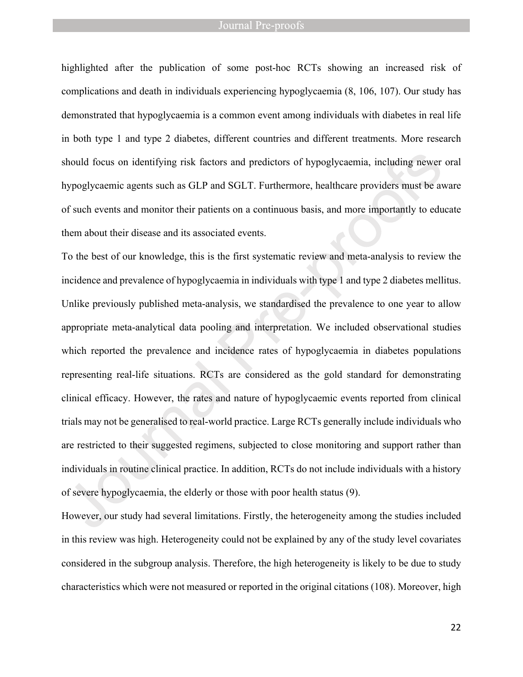highlighted after the publication of some post-hoc RCTs showing an increased risk of complications and death in individuals experiencing hypoglycaemia (8, 106, 107). Our study has demonstrated that hypoglycaemia is a common event among individuals with diabetes in real life in both type 1 and type 2 diabetes, different countries and different treatments. More research should focus on identifying risk factors and predictors of hypoglycaemia, including newer oral hypoglycaemic agents such as GLP and SGLT. Furthermore, healthcare providers must be aware of such events and monitor their patients on a continuous basis, and more importantly to educate them about their disease and its associated events.

To the best of our knowledge, this is the first systematic review and meta-analysis to review the incidence and prevalence of hypoglycaemia in individuals with type 1 and type 2 diabetes mellitus. Unlike previously published meta-analysis, we standardised the prevalence to one year to allow appropriate meta-analytical data pooling and interpretation. We included observational studies which reported the prevalence and incidence rates of hypoglycaemia in diabetes populations representing real-life situations. RCTs are considered as the gold standard for demonstrating clinical efficacy. However, the rates and nature of hypoglycaemic events reported from clinical trials may not be generalised to real-world practice. Large RCTs generally include individuals who are restricted to their suggested regimens, subjected to close monitoring and support rather than individuals in routine clinical practice. In addition, RCTs do not include individuals with a history of severe hypoglycaemia, the elderly or those with poor health status (9).

However, our study had several limitations. Firstly, the heterogeneity among the studies included in this review was high. Heterogeneity could not be explained by any of the study level covariates considered in the subgroup analysis. Therefore, the high heterogeneity is likely to be due to study characteristics which were not measured or reported in the original citations (108). Moreover, high

22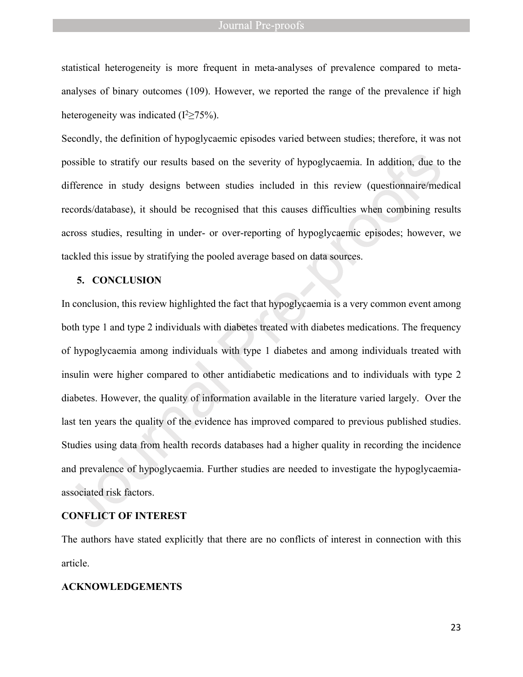statistical heterogeneity is more frequent in meta-analyses of prevalence compared to metaanalyses of binary outcomes (109). However, we reported the range of the prevalence if high heterogeneity was indicated  $(I^2 \ge 75\%)$ .

Secondly, the definition of hypoglycaemic episodes varied between studies; therefore, it was not possible to stratify our results based on the severity of hypoglycaemia. In addition, due to the difference in study designs between studies included in this review (questionnaire/medical records/database), it should be recognised that this causes difficulties when combining results across studies, resulting in under- or over-reporting of hypoglycaemic episodes; however, we tackled this issue by stratifying the pooled average based on data sources.

## **5. CONCLUSION**

In conclusion, this review highlighted the fact that hypoglycaemia is a very common event among both type 1 and type 2 individuals with diabetes treated with diabetes medications. The frequency of hypoglycaemia among individuals with type 1 diabetes and among individuals treated with insulin were higher compared to other antidiabetic medications and to individuals with type 2 diabetes. However, the quality of information available in the literature varied largely. Over the last ten years the quality of the evidence has improved compared to previous published studies. Studies using data from health records databases had a higher quality in recording the incidence and prevalence of hypoglycaemia. Further studies are needed to investigate the hypoglycaemiaassociated risk factors.

## **CONFLICT OF INTEREST**

The authors have stated explicitly that there are no conflicts of interest in connection with this article.

### **ACKNOWLEDGEMENTS**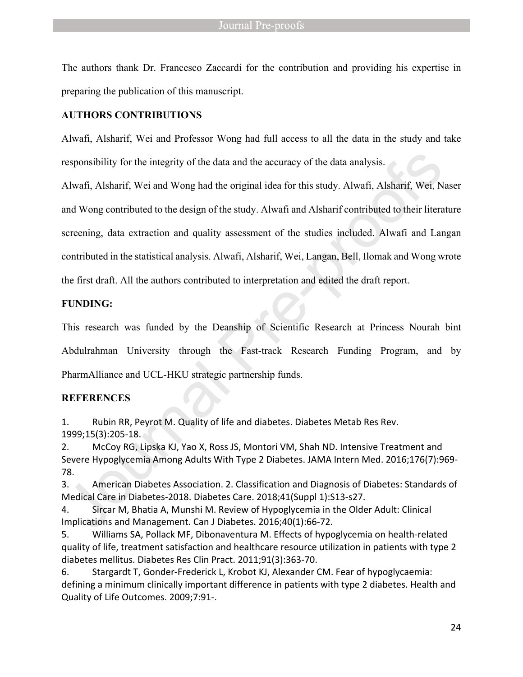The authors thank Dr. Francesco Zaccardi for the contribution and providing his expertise in preparing the publication of this manuscript.

## **AUTHORS CONTRIBUTIONS**

Alwafi, Alsharif, Wei and Professor Wong had full access to all the data in the study and take responsibility for the integrity of the data and the accuracy of the data analysis.

Alwafi, Alsharif, Wei and Wong had the original idea for this study. Alwafi, Alsharif, Wei, Naser and Wong contributed to the design of the study. Alwafi and Alsharif contributed to their literature screening, data extraction and quality assessment of the studies included. Alwafi and Langan contributed in the statistical analysis. Alwafi, Alsharif, Wei, Langan, Bell, Ilomak and Wong wrote the first draft. All the authors contributed to interpretation and edited the draft report.

## **FUNDING:**

This research was funded by the Deanship of Scientific Research at Princess Nourah bint Abdulrahman University through the Fast-track Research Funding Program, and by PharmAlliance and UCL-HKU strategic partnership funds.

# **REFERENCES**

1. Rubin RR, Peyrot M. Quality of life and diabetes. Diabetes Metab Res Rev. 1999;15(3):205-18.

2. McCoy RG, Lipska KJ, Yao X, Ross JS, Montori VM, Shah ND. Intensive Treatment and Severe Hypoglycemia Among Adults With Type 2 Diabetes. JAMA Intern Med. 2016;176(7):969- 78.

3. American Diabetes Association. 2. Classification and Diagnosis of Diabetes: Standards of Medical Care in Diabetes-2018. Diabetes Care. 2018;41(Suppl 1):S13-s27.

4. Sircar M, Bhatia A, Munshi M. Review of Hypoglycemia in the Older Adult: Clinical Implications and Management. Can J Diabetes. 2016;40(1):66-72.

5. Williams SA, Pollack MF, Dibonaventura M. Effects of hypoglycemia on health-related quality of life, treatment satisfaction and healthcare resource utilization in patients with type 2 diabetes mellitus. Diabetes Res Clin Pract. 2011;91(3):363-70.

6. Stargardt T, Gonder-Frederick L, Krobot KJ, Alexander CM. Fear of hypoglycaemia: defining a minimum clinically important difference in patients with type 2 diabetes. Health and Quality of Life Outcomes. 2009;7:91-.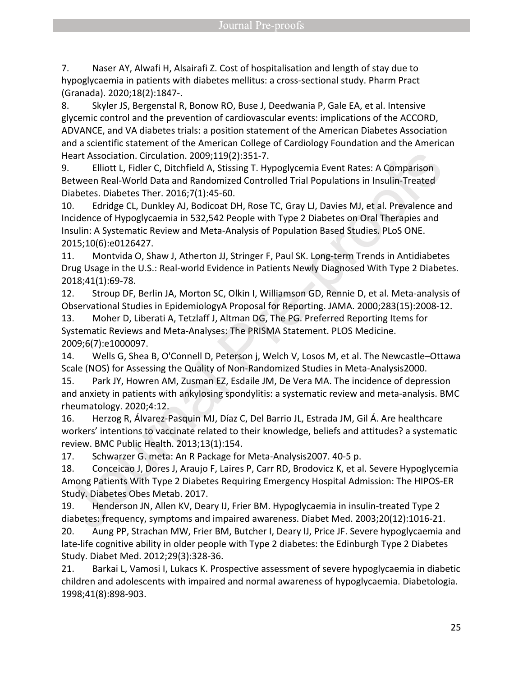7. Naser AY, Alwafi H, Alsairafi Z. Cost of hospitalisation and length of stay due to hypoglycaemia in patients with diabetes mellitus: a cross-sectional study. Pharm Pract (Granada). 2020;18(2):1847-.

8. Skyler JS, Bergenstal R, Bonow RO, Buse J, Deedwania P, Gale EA, et al. Intensive glycemic control and the prevention of cardiovascular events: implications of the ACCORD, ADVANCE, and VA diabetes trials: a position statement of the American Diabetes Association and a scientific statement of the American College of Cardiology Foundation and the American Heart Association. Circulation. 2009;119(2):351-7.

9. Elliott L, Fidler C, Ditchfield A, Stissing T. Hypoglycemia Event Rates: A Comparison Between Real-World Data and Randomized Controlled Trial Populations in Insulin-Treated Diabetes. Diabetes Ther. 2016;7(1):45-60.

10. Edridge CL, Dunkley AJ, Bodicoat DH, Rose TC, Gray LJ, Davies MJ, et al. Prevalence and Incidence of Hypoglycaemia in 532,542 People with Type 2 Diabetes on Oral Therapies and Insulin: A Systematic Review and Meta-Analysis of Population Based Studies. PLoS ONE. 2015;10(6):e0126427.

11. Montvida O, Shaw J, Atherton JJ, Stringer F, Paul SK. Long-term Trends in Antidiabetes Drug Usage in the U.S.: Real-world Evidence in Patients Newly Diagnosed With Type 2 Diabetes. 2018;41(1):69-78.

12. Stroup DF, Berlin JA, Morton SC, Olkin I, Williamson GD, Rennie D, et al. Meta-analysis of Observational Studies in EpidemiologyA Proposal for Reporting. JAMA. 2000;283(15):2008-12.

13. Moher D, Liberati A, Tetzlaff J, Altman DG, The PG. Preferred Reporting Items for Systematic Reviews and Meta-Analyses: The PRISMA Statement. PLOS Medicine. 2009;6(7):e1000097.

14. Wells G, Shea B, O'Connell D, Peterson j, Welch V, Losos M, et al. The Newcastle–Ottawa Scale (NOS) for Assessing the Quality of Non-Randomized Studies in Meta-Analysis2000.

15. Park JY, Howren AM, Zusman EZ, Esdaile JM, De Vera MA. The incidence of depression and anxiety in patients with ankylosing spondylitis: a systematic review and meta-analysis. BMC rheumatology. 2020;4:12.

16. Herzog R, Álvarez-Pasquin MJ, Díaz C, Del Barrio JL, Estrada JM, Gil Á. Are healthcare workers' intentions to vaccinate related to their knowledge, beliefs and attitudes? a systematic review. BMC Public Health. 2013;13(1):154.

17. Schwarzer G. meta: An R Package for Meta-Analysis2007. 40-5 p.

18. Conceicao J, Dores J, Araujo F, Laires P, Carr RD, Brodovicz K, et al. Severe Hypoglycemia Among Patients With Type 2 Diabetes Requiring Emergency Hospital Admission: The HIPOS-ER Study. Diabetes Obes Metab. 2017.

19. Henderson JN, Allen KV, Deary IJ, Frier BM. Hypoglycaemia in insulin-treated Type 2 diabetes: frequency, symptoms and impaired awareness. Diabet Med. 2003;20(12):1016-21.

20. Aung PP, Strachan MW, Frier BM, Butcher I, Deary IJ, Price JF. Severe hypoglycaemia and late-life cognitive ability in older people with Type 2 diabetes: the Edinburgh Type 2 Diabetes Study. Diabet Med. 2012;29(3):328-36.

21. Barkai L, Vamosi I, Lukacs K. Prospective assessment of severe hypoglycaemia in diabetic children and adolescents with impaired and normal awareness of hypoglycaemia. Diabetologia. 1998;41(8):898-903.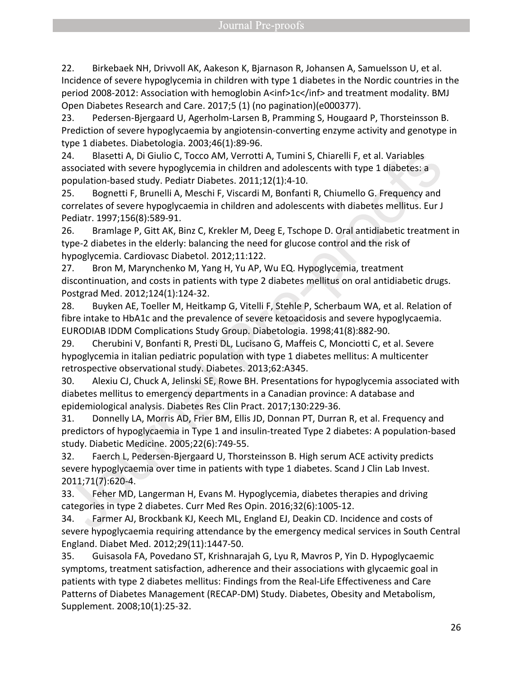22. Birkebaek NH, Drivvoll AK, Aakeson K, Bjarnason R, Johansen A, Samuelsson U, et al. Incidence of severe hypoglycemia in children with type 1 diabetes in the Nordic countries in the period 2008-2012: Association with hemoglobin A<inf>1c</inf> and treatment modality. BMJ Open Diabetes Research and Care. 2017;5 (1) (no pagination)(e000377).

23. Pedersen-Bjergaard U, Agerholm-Larsen B, Pramming S, Hougaard P, Thorsteinsson B. Prediction of severe hypoglycaemia by angiotensin-converting enzyme activity and genotype in type 1 diabetes. Diabetologia. 2003;46(1):89-96.

24. Blasetti A, Di Giulio C, Tocco AM, Verrotti A, Tumini S, Chiarelli F, et al. Variables associated with severe hypoglycemia in children and adolescents with type 1 diabetes: a population-based study. Pediatr Diabetes. 2011;12(1):4-10.

25. Bognetti F, Brunelli A, Meschi F, Viscardi M, Bonfanti R, Chiumello G. Frequency and correlates of severe hypoglycaemia in children and adolescents with diabetes mellitus. Eur J Pediatr. 1997;156(8):589-91.

26. Bramlage P, Gitt AK, Binz C, Krekler M, Deeg E, Tschope D. Oral antidiabetic treatment in type-2 diabetes in the elderly: balancing the need for glucose control and the risk of hypoglycemia. Cardiovasc Diabetol. 2012;11:122.

27. Bron M, Marynchenko M, Yang H, Yu AP, Wu EQ. Hypoglycemia, treatment discontinuation, and costs in patients with type 2 diabetes mellitus on oral antidiabetic drugs. Postgrad Med. 2012;124(1):124-32.

28. Buyken AE, Toeller M, Heitkamp G, Vitelli F, Stehle P, Scherbaum WA, et al. Relation of fibre intake to HbA1c and the prevalence of severe ketoacidosis and severe hypoglycaemia. EURODIAB IDDM Complications Study Group. Diabetologia. 1998;41(8):882-90.

29. Cherubini V, Bonfanti R, Presti DL, Lucisano G, Maffeis C, Monciotti C, et al. Severe hypoglycemia in italian pediatric population with type 1 diabetes mellitus: A multicenter retrospective observational study. Diabetes. 2013;62:A345.

30. Alexiu CJ, Chuck A, Jelinski SE, Rowe BH. Presentations for hypoglycemia associated with diabetes mellitus to emergency departments in a Canadian province: A database and epidemiological analysis. Diabetes Res Clin Pract. 2017;130:229-36.

31. Donnelly LA, Morris AD, Frier BM, Ellis JD, Donnan PT, Durran R, et al. Frequency and predictors of hypoglycaemia in Type 1 and insulin-treated Type 2 diabetes: A population-based study. Diabetic Medicine. 2005;22(6):749-55.

32. Faerch L, Pedersen-Bjergaard U, Thorsteinsson B. High serum ACE activity predicts severe hypoglycaemia over time in patients with type 1 diabetes. Scand J Clin Lab Invest. 2011;71(7):620-4.

33. Feher MD, Langerman H, Evans M. Hypoglycemia, diabetes therapies and driving categories in type 2 diabetes. Curr Med Res Opin. 2016;32(6):1005-12.

34. Farmer AJ, Brockbank KJ, Keech ML, England EJ, Deakin CD. Incidence and costs of severe hypoglycaemia requiring attendance by the emergency medical services in South Central England. Diabet Med. 2012;29(11):1447-50.

35. Guisasola FA, Povedano ST, Krishnarajah G, Lyu R, Mavros P, Yin D. Hypoglycaemic symptoms, treatment satisfaction, adherence and their associations with glycaemic goal in patients with type 2 diabetes mellitus: Findings from the Real-Life Effectiveness and Care Patterns of Diabetes Management (RECAP-DM) Study. Diabetes, Obesity and Metabolism, Supplement. 2008;10(1):25-32.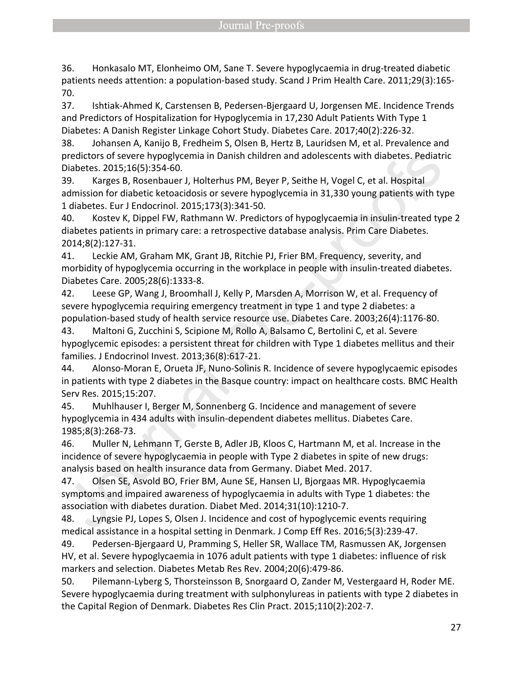36. Honkasalo MT, Elonheimo OM, Sane T. Severe hypoglycaemia in drug-treated diabetic patients needs attention: a population-based study. Scand J Prim Health Care. 2011;29(3):165- 70.

37. Ishtiak-Ahmed K, Carstensen B, Pedersen-Bjergaard U, Jorgensen ME. Incidence Trends and Predictors of Hospitalization for Hypoglycemia in 17,230 Adult Patients With Type 1 Diabetes: A Danish Register Linkage Cohort Study. Diabetes Care. 2017;40(2):226-32.

38. Johansen A, Kanijo B, Fredheim S, Olsen B, Hertz B, Lauridsen M, et al. Prevalence and predictors of severe hypoglycemia in Danish children and adolescents with diabetes. Pediatric Diabetes. 2015;16(5):354-60.

39. Karges B, Rosenbauer J, Holterhus PM, Beyer P, Seithe H, Vogel C, et al. Hospital admission for diabetic ketoacidosis or severe hypoglycemia in 31,330 young patients with type 1 diabetes. Eur J Endocrinol. 2015;173(3):341-50.

40. Kostev K, Dippel FW, Rathmann W. Predictors of hypoglycaemia in insulin-treated type 2 diabetes patients in primary care: a retrospective database analysis. Prim Care Diabetes. 2014;8(2):127-31.

41. Leckie AM, Graham MK, Grant JB, Ritchie PJ, Frier BM. Frequency, severity, and morbidity of hypoglycemia occurring in the workplace in people with insulin-treated diabetes. Diabetes Care. 2005;28(6):1333-8.

42. Leese GP, Wang J, Broomhall J, Kelly P, Marsden A, Morrison W, et al. Frequency of severe hypoglycemia requiring emergency treatment in type 1 and type 2 diabetes: a population-based study of health service resource use. Diabetes Care. 2003;26(4):1176-80.

43. Maltoni G, Zucchini S, Scipione M, Rollo A, Balsamo C, Bertolini C, et al. Severe hypoglycemic episodes: a persistent threat for children with Type 1 diabetes mellitus and their families. J Endocrinol Invest. 2013;36(8):617-21.

44. Alonso-Moran E, Orueta JF, Nuno-Solinis R. Incidence of severe hypoglycaemic episodes in patients with type 2 diabetes in the Basque country: impact on healthcare costs. BMC Health Serv Res. 2015;15:207.

45. Muhlhauser I, Berger M, Sonnenberg G. Incidence and management of severe hypoglycemia in 434 adults with insulin-dependent diabetes mellitus. Diabetes Care. 1985;8(3):268-73.

46. Muller N, Lehmann T, Gerste B, Adler JB, Kloos C, Hartmann M, et al. Increase in the incidence of severe hypoglycaemia in people with Type 2 diabetes in spite of new drugs: analysis based on health insurance data from Germany. Diabet Med. 2017.

47. Olsen SE, Asvold BO, Frier BM, Aune SE, Hansen LI, Bjorgaas MR. Hypoglycaemia symptoms and impaired awareness of hypoglycaemia in adults with Type 1 diabetes: the association with diabetes duration. Diabet Med. 2014;31(10):1210-7.

48. Lyngsie PJ, Lopes S, Olsen J. Incidence and cost of hypoglycemic events requiring medical assistance in a hospital setting in Denmark. J Comp Eff Res. 2016;5(3):239-47.

49. Pedersen-Bjergaard U, Pramming S, Heller SR, Wallace TM, Rasmussen AK, Jorgensen HV, et al. Severe hypoglycaemia in 1076 adult patients with type 1 diabetes: influence of risk markers and selection. Diabetes Metab Res Rev. 2004;20(6):479-86.

50. Pilemann-Lyberg S, Thorsteinsson B, Snorgaard O, Zander M, Vestergaard H, Roder ME. Severe hypoglycaemia during treatment with sulphonylureas in patients with type 2 diabetes in the Capital Region of Denmark. Diabetes Res Clin Pract. 2015;110(2):202-7.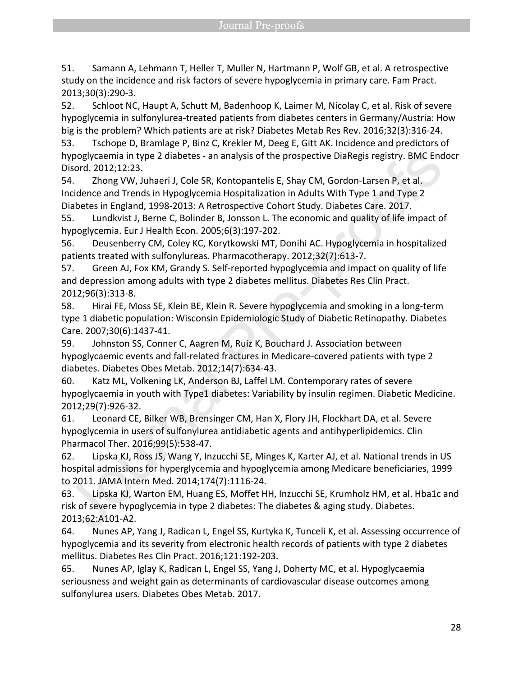51. Samann A, Lehmann T, Heller T, Muller N, Hartmann P, Wolf GB, et al. A retrospective study on the incidence and risk factors of severe hypoglycemia in primary care. Fam Pract. 2013;30(3):290-3.

52. Schloot NC, Haupt A, Schutt M, Badenhoop K, Laimer M, Nicolay C, et al. Risk of severe hypoglycemia in sulfonylurea-treated patients from diabetes centers in Germany/Austria: How big is the problem? Which patients are at risk? Diabetes Metab Res Rev. 2016;32(3):316-24.

53. Tschope D, Bramlage P, Binz C, Krekler M, Deeg E, Gitt AK. Incidence and predictors of hypoglycaemia in type 2 diabetes - an analysis of the prospective DiaRegis registry. BMC Endocr Disord. 2012;12:23.

54. Zhong VW, Juhaeri J, Cole SR, Kontopantelis E, Shay CM, Gordon-Larsen P, et al. Incidence and Trends in Hypoglycemia Hospitalization in Adults With Type 1 and Type 2 Diabetes in England, 1998-2013: A Retrospective Cohort Study. Diabetes Care. 2017.

55. Lundkvist J, Berne C, Bolinder B, Jonsson L. The economic and quality of life impact of hypoglycemia. Eur J Health Econ. 2005;6(3):197-202.

56. Deusenberry CM, Coley KC, Korytkowski MT, Donihi AC. Hypoglycemia in hospitalized patients treated with sulfonylureas. Pharmacotherapy. 2012;32(7):613-7.

57. Green AJ, Fox KM, Grandy S. Self-reported hypoglycemia and impact on quality of life and depression among adults with type 2 diabetes mellitus. Diabetes Res Clin Pract. 2012;96(3):313-8.

58. Hirai FE, Moss SE, Klein BE, Klein R. Severe hypoglycemia and smoking in a long-term type 1 diabetic population: Wisconsin Epidemiologic Study of Diabetic Retinopathy. Diabetes Care. 2007;30(6):1437-41.

59. Johnston SS, Conner C, Aagren M, Ruiz K, Bouchard J. Association between hypoglycaemic events and fall-related fractures in Medicare-covered patients with type 2 diabetes. Diabetes Obes Metab. 2012;14(7):634-43.

60. Katz ML, Volkening LK, Anderson BJ, Laffel LM. Contemporary rates of severe hypoglycaemia in youth with Type1 diabetes: Variability by insulin regimen. Diabetic Medicine. 2012;29(7):926-32.

61. Leonard CE, Bilker WB, Brensinger CM, Han X, Flory JH, Flockhart DA, et al. Severe hypoglycemia in users of sulfonylurea antidiabetic agents and antihyperlipidemics. Clin Pharmacol Ther. 2016;99(5):538-47.

62. Lipska KJ, Ross JS, Wang Y, Inzucchi SE, Minges K, Karter AJ, et al. National trends in US hospital admissions for hyperglycemia and hypoglycemia among Medicare beneficiaries, 1999 to 2011. JAMA Intern Med. 2014;174(7):1116-24.

63. Lipska KJ, Warton EM, Huang ES, Moffet HH, Inzucchi SE, Krumholz HM, et al. Hba1c and risk of severe hypoglycemia in type 2 diabetes: The diabetes & aging study. Diabetes. 2013;62:A101-A2.

64. Nunes AP, Yang J, Radican L, Engel SS, Kurtyka K, Tunceli K, et al. Assessing occurrence of hypoglycemia and its severity from electronic health records of patients with type 2 diabetes mellitus. Diabetes Res Clin Pract. 2016;121:192-203.

65. Nunes AP, Iglay K, Radican L, Engel SS, Yang J, Doherty MC, et al. Hypoglycaemia seriousness and weight gain as determinants of cardiovascular disease outcomes among sulfonylurea users. Diabetes Obes Metab. 2017.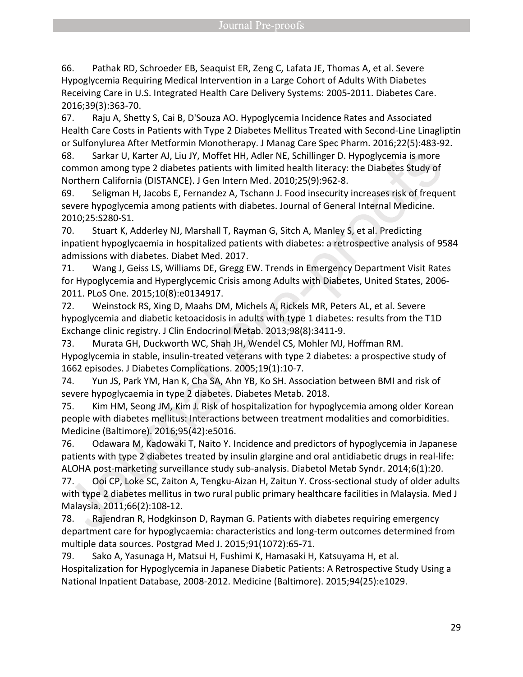66. Pathak RD, Schroeder EB, Seaquist ER, Zeng C, Lafata JE, Thomas A, et al. Severe Hypoglycemia Requiring Medical Intervention in a Large Cohort of Adults With Diabetes Receiving Care in U.S. Integrated Health Care Delivery Systems: 2005-2011. Diabetes Care. 2016;39(3):363-70.

67. Raju A, Shetty S, Cai B, D'Souza AO. Hypoglycemia Incidence Rates and Associated Health Care Costs in Patients with Type 2 Diabetes Mellitus Treated with Second-Line Linagliptin or Sulfonylurea After Metformin Monotherapy. J Manag Care Spec Pharm. 2016;22(5):483-92.

68. Sarkar U, Karter AJ, Liu JY, Moffet HH, Adler NE, Schillinger D. Hypoglycemia is more common among type 2 diabetes patients with limited health literacy: the Diabetes Study of Northern California (DISTANCE). J Gen Intern Med. 2010;25(9):962-8.

69. Seligman H, Jacobs E, Fernandez A, Tschann J. Food insecurity increases risk of frequent severe hypoglycemia among patients with diabetes. Journal of General Internal Medicine. 2010;25:S280-S1.

70. Stuart K, Adderley NJ, Marshall T, Rayman G, Sitch A, Manley S, et al. Predicting inpatient hypoglycaemia in hospitalized patients with diabetes: a retrospective analysis of 9584 admissions with diabetes. Diabet Med. 2017.

71. Wang J, Geiss LS, Williams DE, Gregg EW. Trends in Emergency Department Visit Rates for Hypoglycemia and Hyperglycemic Crisis among Adults with Diabetes, United States, 2006- 2011. PLoS One. 2015;10(8):e0134917.

72. Weinstock RS, Xing D, Maahs DM, Michels A, Rickels MR, Peters AL, et al. Severe hypoglycemia and diabetic ketoacidosis in adults with type 1 diabetes: results from the T1D Exchange clinic registry. J Clin Endocrinol Metab. 2013;98(8):3411-9.

73. Murata GH, Duckworth WC, Shah JH, Wendel CS, Mohler MJ, Hoffman RM. Hypoglycemia in stable, insulin-treated veterans with type 2 diabetes: a prospective study of 1662 episodes. J Diabetes Complications. 2005;19(1):10-7.

74. Yun JS, Park YM, Han K, Cha SA, Ahn YB, Ko SH. Association between BMI and risk of severe hypoglycaemia in type 2 diabetes. Diabetes Metab. 2018.

75. Kim HM, Seong JM, Kim J. Risk of hospitalization for hypoglycemia among older Korean people with diabetes mellitus: Interactions between treatment modalities and comorbidities. Medicine (Baltimore). 2016;95(42):e5016.

76. Odawara M, Kadowaki T, Naito Y. Incidence and predictors of hypoglycemia in Japanese patients with type 2 diabetes treated by insulin glargine and oral antidiabetic drugs in real-life: ALOHA post-marketing surveillance study sub-analysis. Diabetol Metab Syndr. 2014;6(1):20.

77. Ooi CP, Loke SC, Zaiton A, Tengku-Aizan H, Zaitun Y. Cross-sectional study of older adults with type 2 diabetes mellitus in two rural public primary healthcare facilities in Malaysia. Med J Malaysia. 2011;66(2):108-12.

78. Rajendran R, Hodgkinson D, Rayman G. Patients with diabetes requiring emergency department care for hypoglycaemia: characteristics and long-term outcomes determined from multiple data sources. Postgrad Med J. 2015;91(1072):65-71.

79. Sako A, Yasunaga H, Matsui H, Fushimi K, Hamasaki H, Katsuyama H, et al. Hospitalization for Hypoglycemia in Japanese Diabetic Patients: A Retrospective Study Using a National Inpatient Database, 2008-2012. Medicine (Baltimore). 2015;94(25):e1029.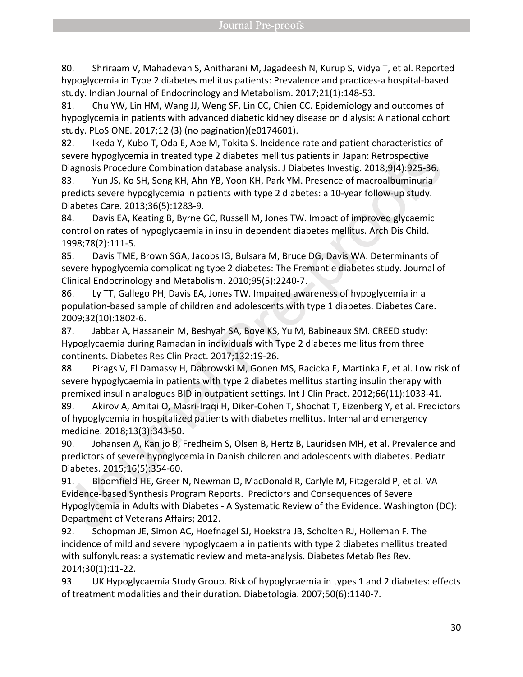80. Shriraam V, Mahadevan S, Anitharani M, Jagadeesh N, Kurup S, Vidya T, et al. Reported hypoglycemia in Type 2 diabetes mellitus patients: Prevalence and practices-a hospital-based study. Indian Journal of Endocrinology and Metabolism. 2017;21(1):148-53.

81. Chu YW, Lin HM, Wang JJ, Weng SF, Lin CC, Chien CC. Epidemiology and outcomes of hypoglycemia in patients with advanced diabetic kidney disease on dialysis: A national cohort study. PLoS ONE. 2017;12 (3) (no pagination)(e0174601).

82. Ikeda Y, Kubo T, Oda E, Abe M, Tokita S. Incidence rate and patient characteristics of severe hypoglycemia in treated type 2 diabetes mellitus patients in Japan: Retrospective Diagnosis Procedure Combination database analysis. J Diabetes Investig. 2018;9(4):925-36.

83. Yun JS, Ko SH, Song KH, Ahn YB, Yoon KH, Park YM. Presence of macroalbuminuria predicts severe hypoglycemia in patients with type 2 diabetes: a 10-year follow-up study. Diabetes Care. 2013;36(5):1283-9.

84. Davis EA, Keating B, Byrne GC, Russell M, Jones TW. Impact of improved glycaemic control on rates of hypoglycaemia in insulin dependent diabetes mellitus. Arch Dis Child. 1998;78(2):111-5.

85. Davis TME, Brown SGA, Jacobs IG, Bulsara M, Bruce DG, Davis WA. Determinants of severe hypoglycemia complicating type 2 diabetes: The Fremantle diabetes study. Journal of Clinical Endocrinology and Metabolism. 2010;95(5):2240-7.

86. Ly TT, Gallego PH, Davis EA, Jones TW. Impaired awareness of hypoglycemia in a population-based sample of children and adolescents with type 1 diabetes. Diabetes Care. 2009;32(10):1802-6.

87. Jabbar A, Hassanein M, Beshyah SA, Boye KS, Yu M, Babineaux SM. CREED study: Hypoglycaemia during Ramadan in individuals with Type 2 diabetes mellitus from three continents. Diabetes Res Clin Pract. 2017;132:19-26.

88. Pirags V, El Damassy H, Dabrowski M, Gonen MS, Racicka E, Martinka E, et al. Low risk of severe hypoglycaemia in patients with type 2 diabetes mellitus starting insulin therapy with premixed insulin analogues BID in outpatient settings. Int J Clin Pract. 2012;66(11):1033-41.

89. Akirov A, Amitai O, Masri-Iraqi H, Diker-Cohen T, Shochat T, Eizenberg Y, et al. Predictors of hypoglycemia in hospitalized patients with diabetes mellitus. Internal and emergency medicine. 2018;13(3):343-50.

90. Johansen A, Kanijo B, Fredheim S, Olsen B, Hertz B, Lauridsen MH, et al. Prevalence and predictors of severe hypoglycemia in Danish children and adolescents with diabetes. Pediatr Diabetes. 2015;16(5):354-60.

91. Bloomfield HE, Greer N, Newman D, MacDonald R, Carlyle M, Fitzgerald P, et al. VA Evidence-based Synthesis Program Reports. Predictors and Consequences of Severe Hypoglycemia in Adults with Diabetes - A Systematic Review of the Evidence. Washington (DC): Department of Veterans Affairs; 2012.

92. Schopman JE, Simon AC, Hoefnagel SJ, Hoekstra JB, Scholten RJ, Holleman F. The incidence of mild and severe hypoglycaemia in patients with type 2 diabetes mellitus treated with sulfonylureas: a systematic review and meta-analysis. Diabetes Metab Res Rev. 2014;30(1):11-22.

93. UK Hypoglycaemia Study Group. Risk of hypoglycaemia in types 1 and 2 diabetes: effects of treatment modalities and their duration. Diabetologia. 2007;50(6):1140-7.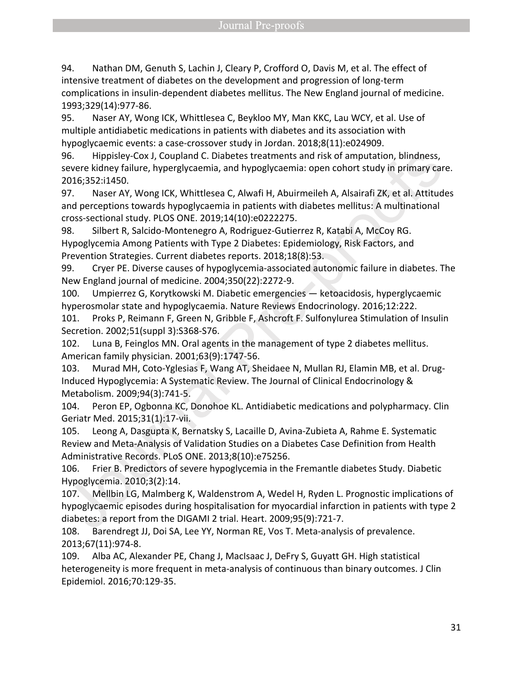94. Nathan DM, Genuth S, Lachin J, Cleary P, Crofford O, Davis M, et al. The effect of intensive treatment of diabetes on the development and progression of long-term complications in insulin-dependent diabetes mellitus. The New England journal of medicine. 1993;329(14):977-86.

95. Naser AY, Wong ICK, Whittlesea C, Beykloo MY, Man KKC, Lau WCY, et al. Use of multiple antidiabetic medications in patients with diabetes and its association with hypoglycaemic events: a case-crossover study in Jordan. 2018;8(11):e024909.

96. Hippisley-Cox J, Coupland C. Diabetes treatments and risk of amputation, blindness, severe kidney failure, hyperglycaemia, and hypoglycaemia: open cohort study in primary care. 2016;352:i1450.

97. Naser AY, Wong ICK, Whittlesea C, Alwafi H, Abuirmeileh A, Alsairafi ZK, et al. Attitudes and perceptions towards hypoglycaemia in patients with diabetes mellitus: A multinational cross-sectional study. PLOS ONE. 2019;14(10):e0222275.

98. Silbert R, Salcido-Montenegro A, Rodriguez-Gutierrez R, Katabi A, McCoy RG. Hypoglycemia Among Patients with Type 2 Diabetes: Epidemiology, Risk Factors, and Prevention Strategies. Current diabetes reports. 2018;18(8):53.

99. Cryer PE. Diverse causes of hypoglycemia-associated autonomic failure in diabetes. The New England journal of medicine. 2004;350(22):2272-9.

100. Umpierrez G, Korytkowski M. Diabetic emergencies — ketoacidosis, hyperglycaemic hyperosmolar state and hypoglycaemia. Nature Reviews Endocrinology. 2016;12:222.

101. Proks P, Reimann F, Green N, Gribble F, Ashcroft F. Sulfonylurea Stimulation of Insulin Secretion. 2002;51(suppl 3):S368-S76.

102. Luna B, Feinglos MN. Oral agents in the management of type 2 diabetes mellitus. American family physician. 2001;63(9):1747-56.

103. Murad MH, Coto-Yglesias F, Wang AT, Sheidaee N, Mullan RJ, Elamin MB, et al. Drug-Induced Hypoglycemia: A Systematic Review. The Journal of Clinical Endocrinology & Metabolism. 2009;94(3):741-5.

104. Peron EP, Ogbonna KC, Donohoe KL. Antidiabetic medications and polypharmacy. Clin Geriatr Med. 2015;31(1):17-vii.

105. Leong A, Dasgupta K, Bernatsky S, Lacaille D, Avina-Zubieta A, Rahme E. Systematic Review and Meta-Analysis of Validation Studies on a Diabetes Case Definition from Health Administrative Records. PLoS ONE. 2013;8(10):e75256.

106. Frier B. Predictors of severe hypoglycemia in the Fremantle diabetes Study. Diabetic Hypoglycemia. 2010;3(2):14.

107. Mellbin LG, Malmberg K, Waldenstrom A, Wedel H, Ryden L. Prognostic implications of hypoglycaemic episodes during hospitalisation for myocardial infarction in patients with type 2 diabetes: a report from the DIGAMI 2 trial. Heart. 2009;95(9):721-7.

108. Barendregt JJ, Doi SA, Lee YY, Norman RE, Vos T. Meta-analysis of prevalence. 2013;67(11):974-8.

109. Alba AC, Alexander PE, Chang J, MacIsaac J, DeFry S, Guyatt GH. High statistical heterogeneity is more frequent in meta-analysis of continuous than binary outcomes. J Clin Epidemiol. 2016;70:129-35.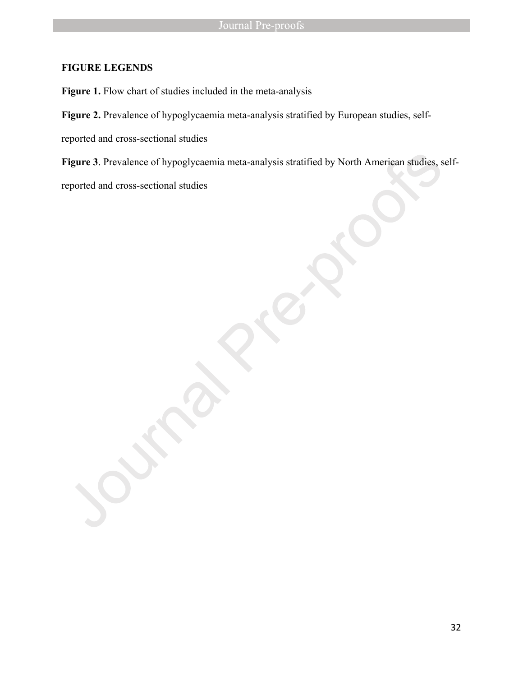# **FIGURE LEGENDS**

Figure 1. Flow chart of studies included in the meta-analysis

Figure 2. Prevalence of hypoglycaemia meta-analysis stratified by European studies, self-

reported and cross-sectional studies

**Figure 3**. Prevalence of hypoglycaemia meta-analysis stratified by North American studies, self-

reported and cross-sectional studies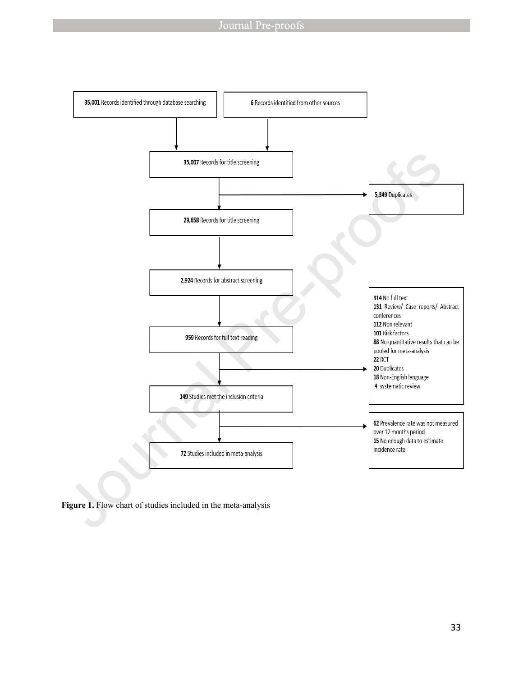

Figure 1. Flow chart of studies included in the meta-analysis